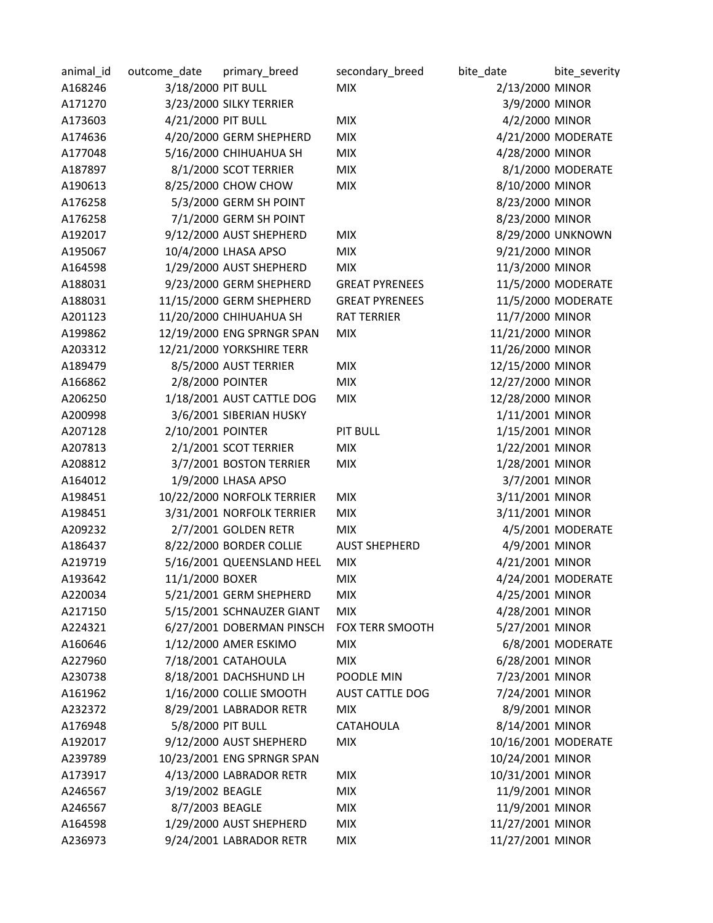| animal_id | outcome date       | primary_breed              | secondary_breed        | bite_date           | bite_severity      |
|-----------|--------------------|----------------------------|------------------------|---------------------|--------------------|
| A168246   | 3/18/2000 PIT BULL |                            | <b>MIX</b>             | 2/13/2000 MINOR     |                    |
| A171270   |                    | 3/23/2000 SILKY TERRIER    |                        | 3/9/2000 MINOR      |                    |
| A173603   | 4/21/2000 PIT BULL |                            | <b>MIX</b>             | 4/2/2000 MINOR      |                    |
| A174636   |                    | 4/20/2000 GERM SHEPHERD    | <b>MIX</b>             |                     | 4/21/2000 MODERATE |
| A177048   |                    | 5/16/2000 CHIHUAHUA SH     | <b>MIX</b>             | 4/28/2000 MINOR     |                    |
| A187897   |                    | 8/1/2000 SCOT TERRIER      | <b>MIX</b>             |                     | 8/1/2000 MODERATE  |
| A190613   |                    | 8/25/2000 CHOW CHOW        | <b>MIX</b>             | 8/10/2000 MINOR     |                    |
| A176258   |                    | 5/3/2000 GERM SH POINT     |                        | 8/23/2000 MINOR     |                    |
| A176258   |                    | 7/1/2000 GERM SH POINT     |                        | 8/23/2000 MINOR     |                    |
| A192017   |                    | 9/12/2000 AUST SHEPHERD    | <b>MIX</b>             |                     | 8/29/2000 UNKNOWN  |
| A195067   |                    | 10/4/2000 LHASA APSO       | <b>MIX</b>             | 9/21/2000 MINOR     |                    |
| A164598   |                    | 1/29/2000 AUST SHEPHERD    | <b>MIX</b>             | 11/3/2000 MINOR     |                    |
| A188031   |                    | 9/23/2000 GERM SHEPHERD    | <b>GREAT PYRENEES</b>  |                     | 11/5/2000 MODERATE |
| A188031   |                    | 11/15/2000 GERM SHEPHERD   | <b>GREAT PYRENEES</b>  |                     | 11/5/2000 MODERATE |
| A201123   |                    | 11/20/2000 CHIHUAHUA SH    | <b>RAT TERRIER</b>     | 11/7/2000 MINOR     |                    |
| A199862   |                    | 12/19/2000 ENG SPRNGR SPAN | <b>MIX</b>             | 11/21/2000 MINOR    |                    |
| A203312   |                    | 12/21/2000 YORKSHIRE TERR  |                        | 11/26/2000 MINOR    |                    |
| A189479   |                    | 8/5/2000 AUST TERRIER      | <b>MIX</b>             | 12/15/2000 MINOR    |                    |
| A166862   | 2/8/2000 POINTER   |                            | <b>MIX</b>             | 12/27/2000 MINOR    |                    |
| A206250   |                    | 1/18/2001 AUST CATTLE DOG  | <b>MIX</b>             | 12/28/2000 MINOR    |                    |
| A200998   |                    | 3/6/2001 SIBERIAN HUSKY    |                        | 1/11/2001 MINOR     |                    |
| A207128   | 2/10/2001 POINTER  |                            | <b>PIT BULL</b>        | 1/15/2001 MINOR     |                    |
| A207813   |                    | 2/1/2001 SCOT TERRIER      | <b>MIX</b>             | 1/22/2001 MINOR     |                    |
| A208812   |                    | 3/7/2001 BOSTON TERRIER    | <b>MIX</b>             | 1/28/2001 MINOR     |                    |
| A164012   |                    | 1/9/2000 LHASA APSO        |                        | 3/7/2001 MINOR      |                    |
| A198451   |                    | 10/22/2000 NORFOLK TERRIER | <b>MIX</b>             | 3/11/2001 MINOR     |                    |
| A198451   |                    | 3/31/2001 NORFOLK TERRIER  | <b>MIX</b>             | 3/11/2001 MINOR     |                    |
| A209232   |                    | 2/7/2001 GOLDEN RETR       | <b>MIX</b>             |                     | 4/5/2001 MODERATE  |
| A186437   |                    | 8/22/2000 BORDER COLLIE    | <b>AUST SHEPHERD</b>   | 4/9/2001 MINOR      |                    |
| A219719   |                    | 5/16/2001 QUEENSLAND HEEL  | <b>MIX</b>             | 4/21/2001 MINOR     |                    |
| A193642   | 11/1/2000 BOXER    |                            | <b>MIX</b>             |                     | 4/24/2001 MODERATE |
| A220034   |                    | 5/21/2001 GERM SHEPHERD    | <b>MIX</b>             | 4/25/2001 MINOR     |                    |
| A217150   |                    | 5/15/2001 SCHNAUZER GIANT  | <b>MIX</b>             | 4/28/2001 MINOR     |                    |
| A224321   |                    | 6/27/2001 DOBERMAN PINSCH  | FOX TERR SMOOTH        | 5/27/2001 MINOR     |                    |
| A160646   |                    | 1/12/2000 AMER ESKIMO      | <b>MIX</b>             |                     | 6/8/2001 MODERATE  |
| A227960   |                    | 7/18/2001 CATAHOULA        | <b>MIX</b>             | 6/28/2001 MINOR     |                    |
| A230738   |                    | 8/18/2001 DACHSHUND LH     | POODLE MIN             | 7/23/2001 MINOR     |                    |
| A161962   |                    | 1/16/2000 COLLIE SMOOTH    | <b>AUST CATTLE DOG</b> | 7/24/2001 MINOR     |                    |
| A232372   |                    | 8/29/2001 LABRADOR RETR    | <b>MIX</b>             | 8/9/2001 MINOR      |                    |
| A176948   | 5/8/2000 PIT BULL  |                            | <b>CATAHOULA</b>       | 8/14/2001 MINOR     |                    |
| A192017   |                    | 9/12/2000 AUST SHEPHERD    | <b>MIX</b>             | 10/16/2001 MODERATE |                    |
| A239789   |                    | 10/23/2001 ENG SPRNGR SPAN |                        | 10/24/2001 MINOR    |                    |
| A173917   |                    | 4/13/2000 LABRADOR RETR    | <b>MIX</b>             | 10/31/2001 MINOR    |                    |
| A246567   | 3/19/2002 BEAGLE   |                            | <b>MIX</b>             | 11/9/2001 MINOR     |                    |
| A246567   | 8/7/2003 BEAGLE    |                            | <b>MIX</b>             | 11/9/2001 MINOR     |                    |
| A164598   |                    | 1/29/2000 AUST SHEPHERD    | <b>MIX</b>             | 11/27/2001 MINOR    |                    |
| A236973   |                    | 9/24/2001 LABRADOR RETR    | <b>MIX</b>             | 11/27/2001 MINOR    |                    |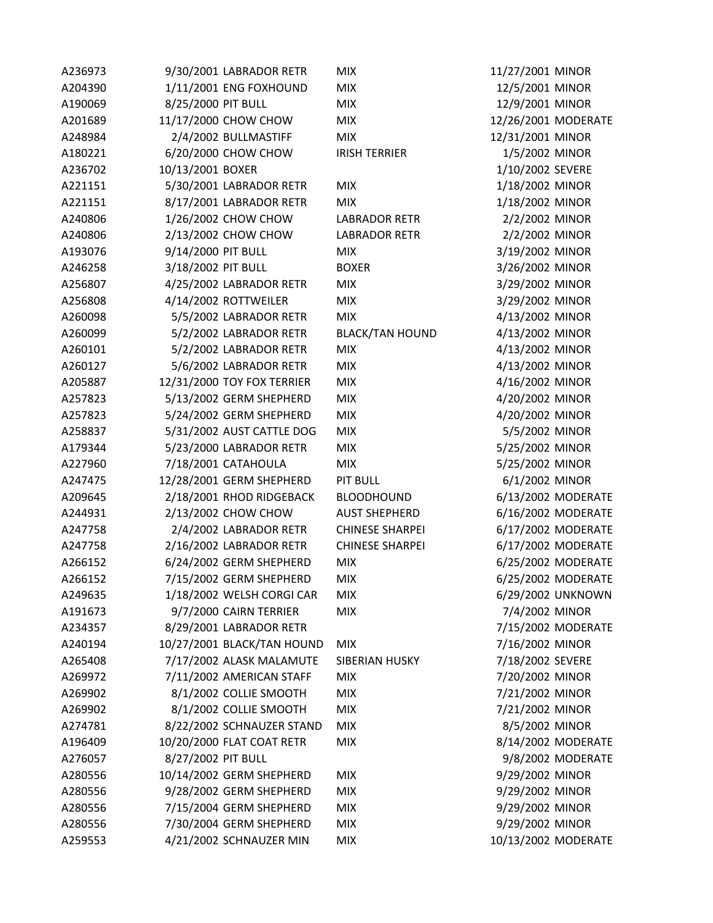| A236973            | 9/30/2001 LABRADOR RETR    | <b>MIX</b>             | 11/27/2001 MINOR    |                    |
|--------------------|----------------------------|------------------------|---------------------|--------------------|
| A204390            | 1/11/2001 ENG FOXHOUND     | <b>MIX</b>             | 12/5/2001 MINOR     |                    |
| A190069            | 8/25/2000 PIT BULL         | <b>MIX</b>             | 12/9/2001 MINOR     |                    |
| A201689            | 11/17/2000 CHOW CHOW       | <b>MIX</b>             | 12/26/2001 MODERATE |                    |
| A248984            | 2/4/2002 BULLMASTIFF       | <b>MIX</b>             | 12/31/2001 MINOR    |                    |
| A180221            | 6/20/2000 CHOW CHOW        | <b>IRISH TERRIER</b>   | 1/5/2002 MINOR      |                    |
| A236702            | 10/13/2001 BOXER           |                        | 1/10/2002 SEVERE    |                    |
| A221151            | 5/30/2001 LABRADOR RETR    | <b>MIX</b>             | 1/18/2002 MINOR     |                    |
| A221151            | 8/17/2001 LABRADOR RETR    | <b>MIX</b>             | 1/18/2002 MINOR     |                    |
| A240806            | 1/26/2002 CHOW CHOW        | <b>LABRADOR RETR</b>   | 2/2/2002 MINOR      |                    |
| A240806            | 2/13/2002 CHOW CHOW        | <b>LABRADOR RETR</b>   | 2/2/2002 MINOR      |                    |
| A193076            | 9/14/2000 PIT BULL         | <b>MIX</b>             | 3/19/2002 MINOR     |                    |
| A246258            | 3/18/2002 PIT BULL         | <b>BOXER</b>           | 3/26/2002 MINOR     |                    |
| A256807            | 4/25/2002 LABRADOR RETR    | <b>MIX</b>             | 3/29/2002 MINOR     |                    |
| A256808            | 4/14/2002 ROTTWEILER       | <b>MIX</b>             | 3/29/2002 MINOR     |                    |
| A260098            | 5/5/2002 LABRADOR RETR     | <b>MIX</b>             | 4/13/2002 MINOR     |                    |
| A260099            | 5/2/2002 LABRADOR RETR     | <b>BLACK/TAN HOUND</b> | 4/13/2002 MINOR     |                    |
| A260101            | 5/2/2002 LABRADOR RETR     | <b>MIX</b>             | 4/13/2002 MINOR     |                    |
| A260127            | 5/6/2002 LABRADOR RETR     | <b>MIX</b>             | 4/13/2002 MINOR     |                    |
| A205887            | 12/31/2000 TOY FOX TERRIER | <b>MIX</b>             | 4/16/2002 MINOR     |                    |
| A257823            | 5/13/2002 GERM SHEPHERD    | <b>MIX</b>             | 4/20/2002 MINOR     |                    |
| A257823            | 5/24/2002 GERM SHEPHERD    | <b>MIX</b>             | 4/20/2002 MINOR     |                    |
| A258837            | 5/31/2002 AUST CATTLE DOG  | <b>MIX</b>             | 5/5/2002 MINOR      |                    |
| A179344            | 5/23/2000 LABRADOR RETR    | <b>MIX</b>             | 5/25/2002 MINOR     |                    |
| A227960            | 7/18/2001 CATAHOULA        | <b>MIX</b>             | 5/25/2002 MINOR     |                    |
| A247475            | 12/28/2001 GERM SHEPHERD   | <b>PIT BULL</b>        | 6/1/2002 MINOR      |                    |
| A209645            | 2/18/2001 RHOD RIDGEBACK   | <b>BLOODHOUND</b>      |                     | 6/13/2002 MODERATE |
| A244931            | 2/13/2002 CHOW CHOW        | <b>AUST SHEPHERD</b>   |                     | 6/16/2002 MODERATE |
| A247758            | 2/4/2002 LABRADOR RETR     | <b>CHINESE SHARPEI</b> |                     | 6/17/2002 MODERATE |
| A247758            | 2/16/2002 LABRADOR RETR    | <b>CHINESE SHARPEI</b> |                     | 6/17/2002 MODERATE |
| A266152            | 6/24/2002 GERM SHEPHERD    | <b>MIX</b>             |                     | 6/25/2002 MODERATE |
| A266152            | 7/15/2002 GERM SHEPHERD    | <b>MIX</b>             |                     | 6/25/2002 MODERATE |
| A249635            | 1/18/2002 WELSH CORGI CAR  | <b>MIX</b>             |                     | 6/29/2002 UNKNOWN  |
| A191673            | 9/7/2000 CAIRN TERRIER     | <b>MIX</b>             | 7/4/2002 MINOR      |                    |
| A234357            | 8/29/2001 LABRADOR RETR    |                        |                     | 7/15/2002 MODERATE |
| A240194            | 10/27/2001 BLACK/TAN HOUND | <b>MIX</b>             | 7/16/2002 MINOR     |                    |
| A265408            | 7/17/2002 ALASK MALAMUTE   | <b>SIBERIAN HUSKY</b>  | 7/18/2002 SEVERE    |                    |
| A269972            | 7/11/2002 AMERICAN STAFF   | <b>MIX</b>             | 7/20/2002 MINOR     |                    |
| A269902            | 8/1/2002 COLLIE SMOOTH     | <b>MIX</b>             | 7/21/2002 MINOR     |                    |
| A269902            | 8/1/2002 COLLIE SMOOTH     | <b>MIX</b>             | 7/21/2002 MINOR     |                    |
| A274781            | 8/22/2002 SCHNAUZER STAND  | <b>MIX</b>             | 8/5/2002 MINOR      |                    |
| A196409            | 10/20/2000 FLAT COAT RETR  | <b>MIX</b>             |                     | 8/14/2002 MODERATE |
| A276057            | 8/27/2002 PIT BULL         |                        |                     | 9/8/2002 MODERATE  |
| A280556            | 10/14/2002 GERM SHEPHERD   | <b>MIX</b>             | 9/29/2002 MINOR     |                    |
| A280556            | 9/28/2002 GERM SHEPHERD    | <b>MIX</b>             | 9/29/2002 MINOR     |                    |
|                    | 7/15/2004 GERM SHEPHERD    | <b>MIX</b>             | 9/29/2002 MINOR     |                    |
| A280556<br>A280556 | 7/30/2004 GERM SHEPHERD    | <b>MIX</b>             | 9/29/2002 MINOR     |                    |
| A259553            | 4/21/2002 SCHNAUZER MIN    | <b>MIX</b>             | 10/13/2002 MODERATE |                    |
|                    |                            |                        |                     |                    |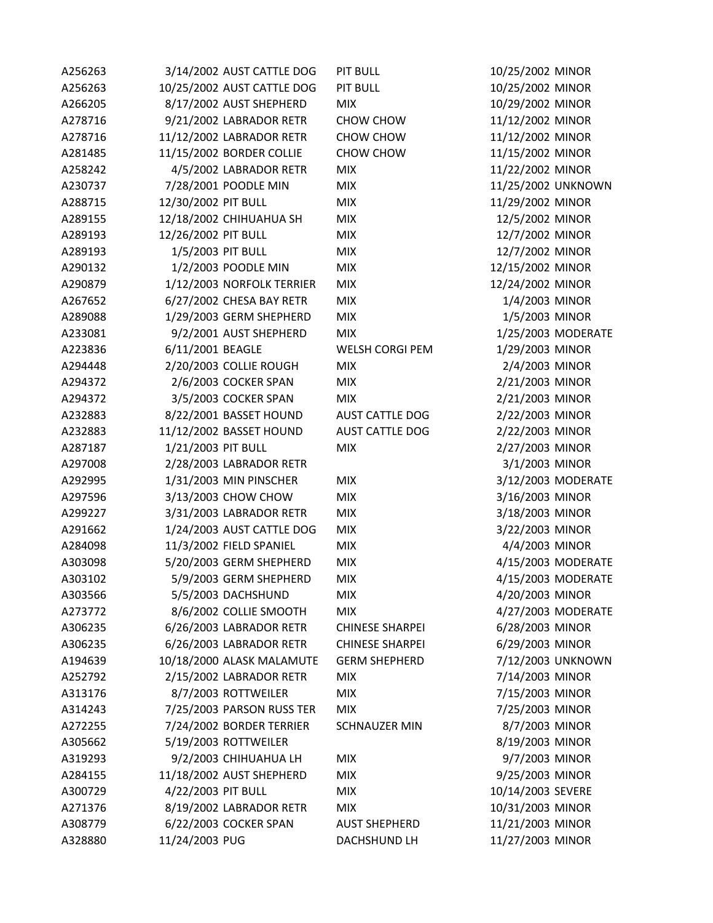| A256263 | 3/14/2002 AUST CATTLE DOG  | <b>PIT BULL</b>        | 10/25/2002 MINOR   |
|---------|----------------------------|------------------------|--------------------|
| A256263 | 10/25/2002 AUST CATTLE DOG | <b>PIT BULL</b>        | 10/25/2002 MINOR   |
| A266205 | 8/17/2002 AUST SHEPHERD    | <b>MIX</b>             | 10/29/2002 MINOR   |
| A278716 | 9/21/2002 LABRADOR RETR    | CHOW CHOW              | 11/12/2002 MINOR   |
| A278716 | 11/12/2002 LABRADOR RETR   | CHOW CHOW              | 11/12/2002 MINOR   |
| A281485 | 11/15/2002 BORDER COLLIE   | CHOW CHOW              | 11/15/2002 MINOR   |
| A258242 | 4/5/2002 LABRADOR RETR     | <b>MIX</b>             | 11/22/2002 MINOR   |
| A230737 | 7/28/2001 POODLE MIN       | <b>MIX</b>             | 11/25/2002 UNKNOWN |
| A288715 | 12/30/2002 PIT BULL        | <b>MIX</b>             | 11/29/2002 MINOR   |
| A289155 | 12/18/2002 CHIHUAHUA SH    | <b>MIX</b>             | 12/5/2002 MINOR    |
| A289193 | 12/26/2002 PIT BULL        | <b>MIX</b>             | 12/7/2002 MINOR    |
| A289193 | 1/5/2003 PIT BULL          | <b>MIX</b>             | 12/7/2002 MINOR    |
| A290132 | 1/2/2003 POODLE MIN        | <b>MIX</b>             | 12/15/2002 MINOR   |
| A290879 | 1/12/2003 NORFOLK TERRIER  | <b>MIX</b>             | 12/24/2002 MINOR   |
| A267652 | 6/27/2002 CHESA BAY RETR   | <b>MIX</b>             | 1/4/2003 MINOR     |
| A289088 | 1/29/2003 GERM SHEPHERD    | <b>MIX</b>             | 1/5/2003 MINOR     |
| A233081 | 9/2/2001 AUST SHEPHERD     | <b>MIX</b>             | 1/25/2003 MODERATE |
| A223836 | 6/11/2001 BEAGLE           | WELSH CORGI PEM        | 1/29/2003 MINOR    |
| A294448 | 2/20/2003 COLLIE ROUGH     | <b>MIX</b>             | 2/4/2003 MINOR     |
| A294372 | 2/6/2003 COCKER SPAN       | <b>MIX</b>             | 2/21/2003 MINOR    |
| A294372 | 3/5/2003 COCKER SPAN       | <b>MIX</b>             | 2/21/2003 MINOR    |
| A232883 | 8/22/2001 BASSET HOUND     | <b>AUST CATTLE DOG</b> | 2/22/2003 MINOR    |
| A232883 | 11/12/2002 BASSET HOUND    | <b>AUST CATTLE DOG</b> | 2/22/2003 MINOR    |
| A287187 | 1/21/2003 PIT BULL         | <b>MIX</b>             | 2/27/2003 MINOR    |
| A297008 | 2/28/2003 LABRADOR RETR    |                        | 3/1/2003 MINOR     |
| A292995 | 1/31/2003 MIN PINSCHER     | <b>MIX</b>             | 3/12/2003 MODERATE |
| A297596 | 3/13/2003 CHOW CHOW        | <b>MIX</b>             | 3/16/2003 MINOR    |
| A299227 | 3/31/2003 LABRADOR RETR    | <b>MIX</b>             | 3/18/2003 MINOR    |
| A291662 | 1/24/2003 AUST CATTLE DOG  | <b>MIX</b>             | 3/22/2003 MINOR    |
| A284098 | 11/3/2002 FIELD SPANIEL    | <b>MIX</b>             | 4/4/2003 MINOR     |
| A303098 | 5/20/2003 GERM SHEPHERD    | <b>MIX</b>             | 4/15/2003 MODERATE |
| A303102 | 5/9/2003 GERM SHEPHERD     | <b>MIX</b>             | 4/15/2003 MODERATE |
| A303566 | 5/5/2003 DACHSHUND         | <b>MIX</b>             | 4/20/2003 MINOR    |
| A273772 | 8/6/2002 COLLIE SMOOTH     | <b>MIX</b>             | 4/27/2003 MODERATE |
| A306235 | 6/26/2003 LABRADOR RETR    | <b>CHINESE SHARPEI</b> | 6/28/2003 MINOR    |
| A306235 | 6/26/2003 LABRADOR RETR    | <b>CHINESE SHARPEI</b> | 6/29/2003 MINOR    |
| A194639 | 10/18/2000 ALASK MALAMUTE  | <b>GERM SHEPHERD</b>   | 7/12/2003 UNKNOWN  |
| A252792 | 2/15/2002 LABRADOR RETR    | <b>MIX</b>             | 7/14/2003 MINOR    |
| A313176 | 8/7/2003 ROTTWEILER        | <b>MIX</b>             | 7/15/2003 MINOR    |
| A314243 | 7/25/2003 PARSON RUSS TER  | <b>MIX</b>             | 7/25/2003 MINOR    |
| A272255 | 7/24/2002 BORDER TERRIER   | <b>SCHNAUZER MIN</b>   | 8/7/2003 MINOR     |
| A305662 | 5/19/2003 ROTTWEILER       |                        | 8/19/2003 MINOR    |
| A319293 | 9/2/2003 CHIHUAHUA LH      | <b>MIX</b>             | 9/7/2003 MINOR     |
| A284155 | 11/18/2002 AUST SHEPHERD   | <b>MIX</b>             | 9/25/2003 MINOR    |
| A300729 | 4/22/2003 PIT BULL         | <b>MIX</b>             | 10/14/2003 SEVERE  |
| A271376 | 8/19/2002 LABRADOR RETR    | <b>MIX</b>             | 10/31/2003 MINOR   |
| A308779 | 6/22/2003 COCKER SPAN      | <b>AUST SHEPHERD</b>   | 11/21/2003 MINOR   |
| A328880 | 11/24/2003 PUG             | DACHSHUND LH           | 11/27/2003 MINOR   |
|         |                            |                        |                    |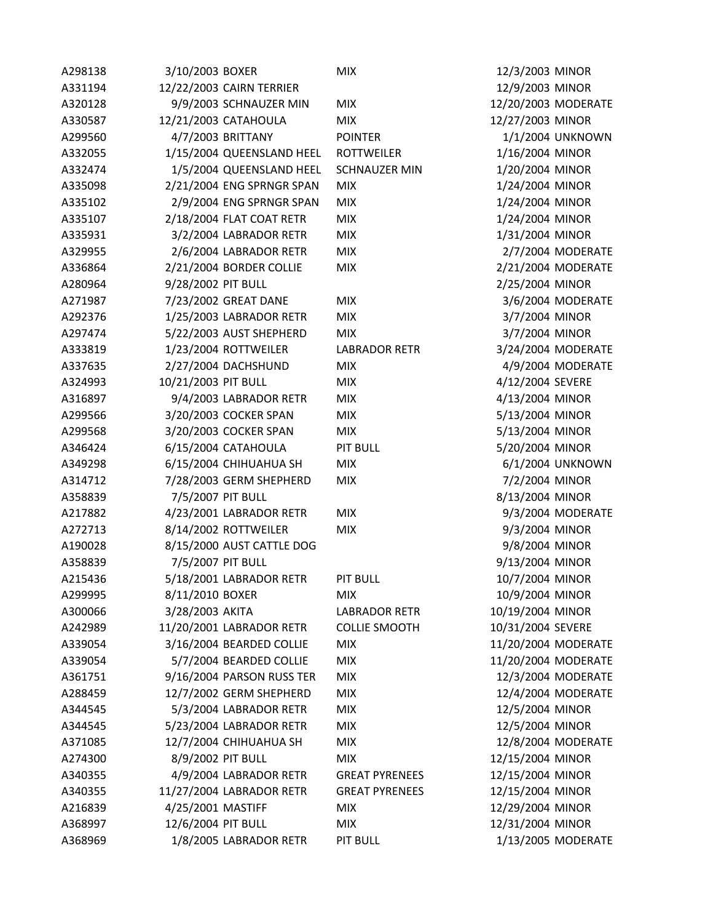| A298138 | 3/10/2003 BOXER           | <b>MIX</b>            | 12/3/2003 MINOR     |
|---------|---------------------------|-----------------------|---------------------|
| A331194 | 12/22/2003 CAIRN TERRIER  |                       | 12/9/2003 MINOR     |
| A320128 | 9/9/2003 SCHNAUZER MIN    | <b>MIX</b>            | 12/20/2003 MODERATE |
| A330587 | 12/21/2003 CATAHOULA      | <b>MIX</b>            | 12/27/2003 MINOR    |
| A299560 | 4/7/2003 BRITTANY         | <b>POINTER</b>        | 1/1/2004 UNKNOWN    |
| A332055 | 1/15/2004 QUEENSLAND HEEL | <b>ROTTWEILER</b>     | 1/16/2004 MINOR     |
| A332474 | 1/5/2004 QUEENSLAND HEEL  | <b>SCHNAUZER MIN</b>  | 1/20/2004 MINOR     |
| A335098 | 2/21/2004 ENG SPRNGR SPAN | <b>MIX</b>            | 1/24/2004 MINOR     |
| A335102 | 2/9/2004 ENG SPRNGR SPAN  | <b>MIX</b>            | 1/24/2004 MINOR     |
| A335107 | 2/18/2004 FLAT COAT RETR  | <b>MIX</b>            | 1/24/2004 MINOR     |
| A335931 | 3/2/2004 LABRADOR RETR    | <b>MIX</b>            | 1/31/2004 MINOR     |
| A329955 | 2/6/2004 LABRADOR RETR    | <b>MIX</b>            | 2/7/2004 MODERATE   |
| A336864 | 2/21/2004 BORDER COLLIE   | <b>MIX</b>            | 2/21/2004 MODERATE  |
| A280964 | 9/28/2002 PIT BULL        |                       | 2/25/2004 MINOR     |
| A271987 | 7/23/2002 GREAT DANE      | <b>MIX</b>            | 3/6/2004 MODERATE   |
| A292376 | 1/25/2003 LABRADOR RETR   | <b>MIX</b>            | 3/7/2004 MINOR      |
| A297474 | 5/22/2003 AUST SHEPHERD   | <b>MIX</b>            | 3/7/2004 MINOR      |
| A333819 | 1/23/2004 ROTTWEILER      | <b>LABRADOR RETR</b>  | 3/24/2004 MODERATE  |
| A337635 | 2/27/2004 DACHSHUND       | <b>MIX</b>            | 4/9/2004 MODERATE   |
| A324993 | 10/21/2003 PIT BULL       | <b>MIX</b>            | 4/12/2004 SEVERE    |
| A316897 | 9/4/2003 LABRADOR RETR    | <b>MIX</b>            | 4/13/2004 MINOR     |
| A299566 | 3/20/2003 COCKER SPAN     | <b>MIX</b>            | 5/13/2004 MINOR     |
| A299568 | 3/20/2003 COCKER SPAN     | <b>MIX</b>            | 5/13/2004 MINOR     |
| A346424 | 6/15/2004 CATAHOULA       | PIT BULL              | 5/20/2004 MINOR     |
| A349298 | 6/15/2004 CHIHUAHUA SH    | <b>MIX</b>            | 6/1/2004 UNKNOWN    |
| A314712 | 7/28/2003 GERM SHEPHERD   | <b>MIX</b>            | 7/2/2004 MINOR      |
| A358839 | 7/5/2007 PIT BULL         |                       | 8/13/2004 MINOR     |
| A217882 | 4/23/2001 LABRADOR RETR   | <b>MIX</b>            | 9/3/2004 MODERATE   |
| A272713 | 8/14/2002 ROTTWEILER      | <b>MIX</b>            | 9/3/2004 MINOR      |
| A190028 | 8/15/2000 AUST CATTLE DOG |                       | 9/8/2004 MINOR      |
| A358839 | 7/5/2007 PIT BULL         |                       | 9/13/2004 MINOR     |
| A215436 | 5/18/2001 LABRADOR RETR   | <b>PIT BULL</b>       | 10/7/2004 MINOR     |
| A299995 | 8/11/2010 BOXER           | <b>MIX</b>            | 10/9/2004 MINOR     |
| A300066 | 3/28/2003 AKITA           | <b>LABRADOR RETR</b>  | 10/19/2004 MINOR    |
| A242989 | 11/20/2001 LABRADOR RETR  | <b>COLLIE SMOOTH</b>  | 10/31/2004 SEVERE   |
| A339054 | 3/16/2004 BEARDED COLLIE  | <b>MIX</b>            | 11/20/2004 MODERATE |
| A339054 | 5/7/2004 BEARDED COLLIE   | <b>MIX</b>            | 11/20/2004 MODERATE |
| A361751 | 9/16/2004 PARSON RUSS TER | <b>MIX</b>            | 12/3/2004 MODERATE  |
| A288459 | 12/7/2002 GERM SHEPHERD   | <b>MIX</b>            | 12/4/2004 MODERATE  |
| A344545 | 5/3/2004 LABRADOR RETR    | <b>MIX</b>            | 12/5/2004 MINOR     |
| A344545 | 5/23/2004 LABRADOR RETR   | <b>MIX</b>            | 12/5/2004 MINOR     |
| A371085 | 12/7/2004 CHIHUAHUA SH    | <b>MIX</b>            | 12/8/2004 MODERATE  |
| A274300 | 8/9/2002 PIT BULL         | <b>MIX</b>            | 12/15/2004 MINOR    |
| A340355 | 4/9/2004 LABRADOR RETR    | <b>GREAT PYRENEES</b> | 12/15/2004 MINOR    |
| A340355 | 11/27/2004 LABRADOR RETR  | <b>GREAT PYRENEES</b> | 12/15/2004 MINOR    |
| A216839 | 4/25/2001 MASTIFF         | <b>MIX</b>            | 12/29/2004 MINOR    |
| A368997 | 12/6/2004 PIT BULL        | <b>MIX</b>            | 12/31/2004 MINOR    |
| A368969 | 1/8/2005 LABRADOR RETR    | <b>PIT BULL</b>       | 1/13/2005 MODERATE  |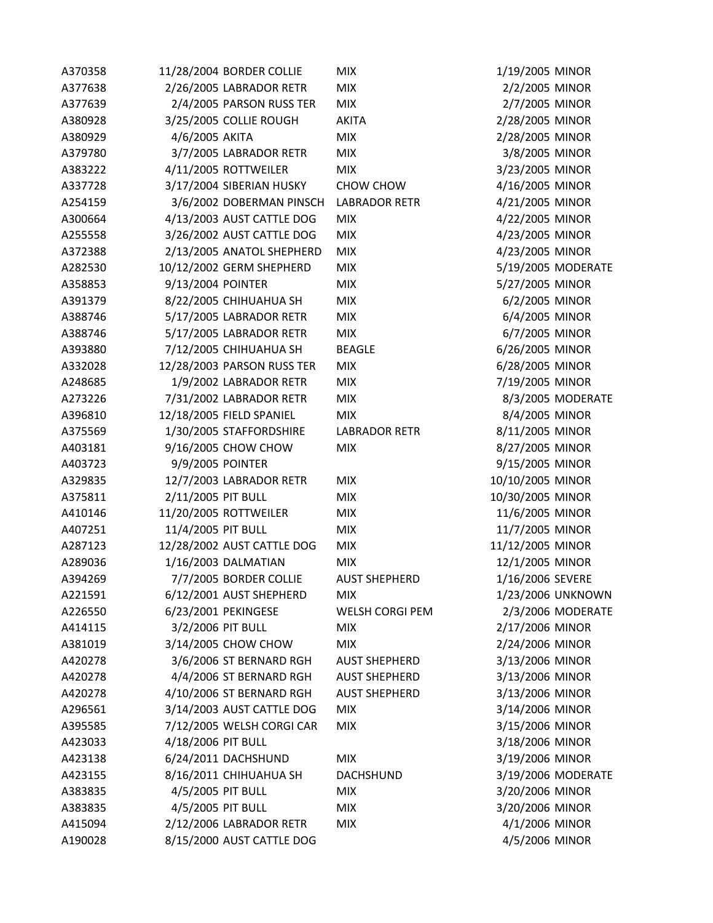| A370358 | 11/28/2004 BORDER COLLIE   | <b>MIX</b>           | 1/19/2005 MINOR                    |
|---------|----------------------------|----------------------|------------------------------------|
| A377638 | 2/26/2005 LABRADOR RETR    | <b>MIX</b>           | 2/2/2005 MINOR                     |
| A377639 | 2/4/2005 PARSON RUSS TER   | <b>MIX</b>           | 2/7/2005 MINOR                     |
| A380928 | 3/25/2005 COLLIE ROUGH     | <b>AKITA</b>         | 2/28/2005 MINOR                    |
| A380929 | 4/6/2005 AKITA             | <b>MIX</b>           | 2/28/2005 MINOR                    |
| A379780 | 3/7/2005 LABRADOR RETR     | <b>MIX</b>           | 3/8/2005 MINOR                     |
| A383222 | 4/11/2005 ROTTWEILER       | <b>MIX</b>           | 3/23/2005 MINOR                    |
| A337728 | 3/17/2004 SIBERIAN HUSKY   | CHOW CHOW            | 4/16/2005 MINOR                    |
| A254159 | 3/6/2002 DOBERMAN PINSCH   | <b>LABRADOR RETR</b> | 4/21/2005 MINOR                    |
| A300664 | 4/13/2003 AUST CATTLE DOG  | <b>MIX</b>           | 4/22/2005 MINOR                    |
| A255558 | 3/26/2002 AUST CATTLE DOG  | <b>MIX</b>           | 4/23/2005 MINOR                    |
| A372388 | 2/13/2005 ANATOL SHEPHERD  | <b>MIX</b>           | 4/23/2005 MINOR                    |
| A282530 | 10/12/2002 GERM SHEPHERD   | <b>MIX</b>           | 5/19/2005 MODERATE                 |
| A358853 | 9/13/2004 POINTER          | <b>MIX</b>           | 5/27/2005 MINOR                    |
| A391379 | 8/22/2005 CHIHUAHUA SH     | <b>MIX</b>           | 6/2/2005 MINOR                     |
| A388746 | 5/17/2005 LABRADOR RETR    | <b>MIX</b>           | 6/4/2005 MINOR                     |
| A388746 | 5/17/2005 LABRADOR RETR    | <b>MIX</b>           | 6/7/2005 MINOR                     |
| A393880 | 7/12/2005 CHIHUAHUA SH     | <b>BEAGLE</b>        | 6/26/2005 MINOR                    |
| A332028 | 12/28/2003 PARSON RUSS TER | <b>MIX</b>           | 6/28/2005 MINOR                    |
| A248685 | 1/9/2002 LABRADOR RETR     | <b>MIX</b>           | 7/19/2005 MINOR                    |
| A273226 | 7/31/2002 LABRADOR RETR    | <b>MIX</b>           | 8/3/2005 MODERATE                  |
| A396810 | 12/18/2005 FIELD SPANIEL   | <b>MIX</b>           | 8/4/2005 MINOR                     |
| A375569 | 1/30/2005 STAFFORDSHIRE    | <b>LABRADOR RETR</b> | 8/11/2005 MINOR                    |
| A403181 | 9/16/2005 CHOW CHOW        | <b>MIX</b>           | 8/27/2005 MINOR                    |
| A403723 | 9/9/2005 POINTER           |                      | 9/15/2005 MINOR                    |
| A329835 | 12/7/2003 LABRADOR RETR    | <b>MIX</b>           | 10/10/2005 MINOR                   |
| A375811 | 2/11/2005 PIT BULL         | <b>MIX</b>           | 10/30/2005 MINOR                   |
| A410146 | 11/20/2005 ROTTWEILER      | <b>MIX</b>           | 11/6/2005 MINOR                    |
| A407251 | 11/4/2005 PIT BULL         | <b>MIX</b>           | 11/7/2005 MINOR                    |
| A287123 | 12/28/2002 AUST CATTLE DOG | <b>MIX</b>           | 11/12/2005 MINOR                   |
| A289036 | 1/16/2003 DALMATIAN        | <b>MIX</b>           | 12/1/2005 MINOR                    |
| A394269 | 7/7/2005 BORDER COLLIE     | <b>AUST SHEPHERD</b> | 1/16/2006 SEVERE                   |
| A221591 | 6/12/2001 AUST SHEPHERD    | <b>MIX</b>           | 1/23/2006 UNKNOWN                  |
| A226550 | 6/23/2001 PEKINGESE        | WELSH CORGI PEM      | 2/3/2006 MODERATE                  |
| A414115 | 3/2/2006 PIT BULL          | <b>MIX</b>           | 2/17/2006 MINOR                    |
| A381019 | 3/14/2005 CHOW CHOW        | <b>MIX</b>           | 2/24/2006 MINOR                    |
| A420278 | 3/6/2006 ST BERNARD RGH    | <b>AUST SHEPHERD</b> | 3/13/2006 MINOR                    |
| A420278 | 4/4/2006 ST BERNARD RGH    | <b>AUST SHEPHERD</b> | 3/13/2006 MINOR                    |
| A420278 | 4/10/2006 ST BERNARD RGH   | <b>AUST SHEPHERD</b> | 3/13/2006 MINOR                    |
|         |                            |                      |                                    |
| A296561 | 3/14/2003 AUST CATTLE DOG  | <b>MIX</b>           | 3/14/2006 MINOR<br>3/15/2006 MINOR |
| A395585 | 7/12/2005 WELSH CORGI CAR  | <b>MIX</b>           |                                    |
| A423033 | 4/18/2006 PIT BULL         |                      | 3/18/2006 MINOR                    |
| A423138 | 6/24/2011 DACHSHUND        | <b>MIX</b>           | 3/19/2006 MINOR                    |
| A423155 | 8/16/2011 CHIHUAHUA SH     | <b>DACHSHUND</b>     | 3/19/2006 MODERATE                 |
| A383835 | 4/5/2005 PIT BULL          | <b>MIX</b>           | 3/20/2006 MINOR                    |
| A383835 | 4/5/2005 PIT BULL          | <b>MIX</b>           | 3/20/2006 MINOR                    |
| A415094 | 2/12/2006 LABRADOR RETR    | <b>MIX</b>           | 4/1/2006 MINOR                     |
| A190028 | 8/15/2000 AUST CATTLE DOG  |                      | 4/5/2006 MINOR                     |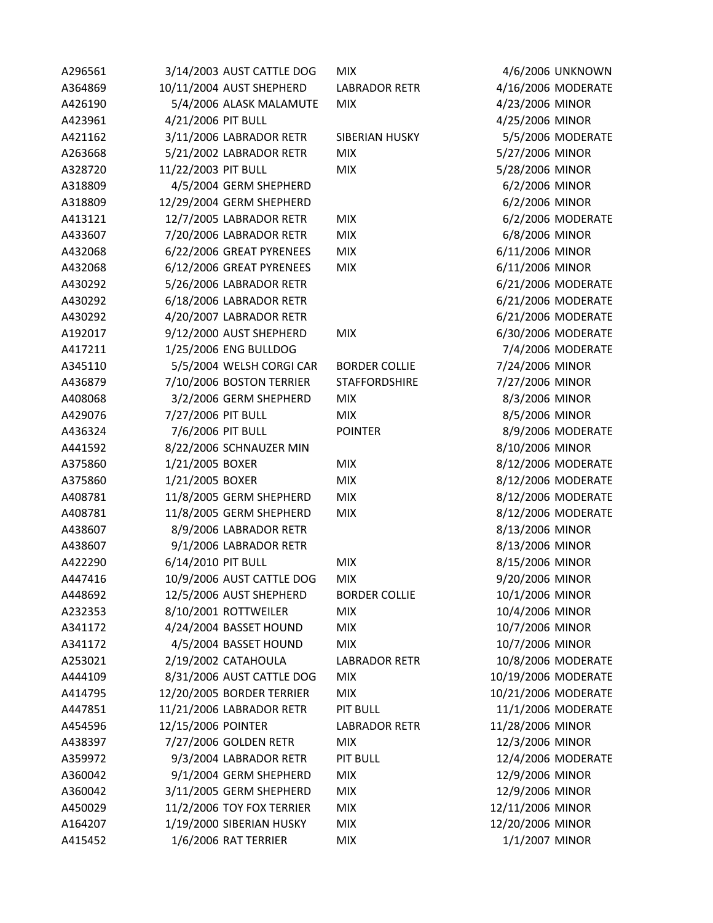| A296561 | 3/14/2003 AUST CATTLE DOG | <b>MIX</b>           |                     | 4/6/2006 UNKNOWN  |
|---------|---------------------------|----------------------|---------------------|-------------------|
| A364869 | 10/11/2004 AUST SHEPHERD  | <b>LABRADOR RETR</b> | 4/16/2006 MODERATE  |                   |
| A426190 | 5/4/2006 ALASK MALAMUTE   | <b>MIX</b>           | 4/23/2006 MINOR     |                   |
| A423961 | 4/21/2006 PIT BULL        |                      | 4/25/2006 MINOR     |                   |
| A421162 | 3/11/2006 LABRADOR RETR   | SIBERIAN HUSKY       |                     | 5/5/2006 MODERATE |
| A263668 | 5/21/2002 LABRADOR RETR   | <b>MIX</b>           | 5/27/2006 MINOR     |                   |
| A328720 | 11/22/2003 PIT BULL       | <b>MIX</b>           | 5/28/2006 MINOR     |                   |
| A318809 | 4/5/2004 GERM SHEPHERD    |                      | 6/2/2006 MINOR      |                   |
| A318809 | 12/29/2004 GERM SHEPHERD  |                      | 6/2/2006 MINOR      |                   |
| A413121 | 12/7/2005 LABRADOR RETR   | <b>MIX</b>           |                     | 6/2/2006 MODERATE |
| A433607 | 7/20/2006 LABRADOR RETR   | <b>MIX</b>           | 6/8/2006 MINOR      |                   |
| A432068 | 6/22/2006 GREAT PYRENEES  | <b>MIX</b>           | 6/11/2006 MINOR     |                   |
| A432068 | 6/12/2006 GREAT PYRENEES  | <b>MIX</b>           | 6/11/2006 MINOR     |                   |
| A430292 | 5/26/2006 LABRADOR RETR   |                      | 6/21/2006 MODERATE  |                   |
| A430292 | 6/18/2006 LABRADOR RETR   |                      | 6/21/2006 MODERATE  |                   |
| A430292 | 4/20/2007 LABRADOR RETR   |                      | 6/21/2006 MODERATE  |                   |
| A192017 | 9/12/2000 AUST SHEPHERD   | <b>MIX</b>           | 6/30/2006 MODERATE  |                   |
| A417211 | 1/25/2006 ENG BULLDOG     |                      |                     | 7/4/2006 MODERATE |
| A345110 | 5/5/2004 WELSH CORGI CAR  | <b>BORDER COLLIE</b> | 7/24/2006 MINOR     |                   |
| A436879 | 7/10/2006 BOSTON TERRIER  | <b>STAFFORDSHIRE</b> | 7/27/2006 MINOR     |                   |
| A408068 | 3/2/2006 GERM SHEPHERD    | <b>MIX</b>           | 8/3/2006 MINOR      |                   |
| A429076 | 7/27/2006 PIT BULL        | <b>MIX</b>           | 8/5/2006 MINOR      |                   |
| A436324 | 7/6/2006 PIT BULL         | <b>POINTER</b>       |                     | 8/9/2006 MODERATE |
| A441592 | 8/22/2006 SCHNAUZER MIN   |                      | 8/10/2006 MINOR     |                   |
| A375860 | 1/21/2005 BOXER           | <b>MIX</b>           | 8/12/2006 MODERATE  |                   |
| A375860 | 1/21/2005 BOXER           | <b>MIX</b>           | 8/12/2006 MODERATE  |                   |
| A408781 | 11/8/2005 GERM SHEPHERD   | <b>MIX</b>           | 8/12/2006 MODERATE  |                   |
| A408781 | 11/8/2005 GERM SHEPHERD   | <b>MIX</b>           | 8/12/2006 MODERATE  |                   |
| A438607 | 8/9/2006 LABRADOR RETR    |                      | 8/13/2006 MINOR     |                   |
| A438607 | 9/1/2006 LABRADOR RETR    |                      | 8/13/2006 MINOR     |                   |
| A422290 | 6/14/2010 PIT BULL        | <b>MIX</b>           | 8/15/2006 MINOR     |                   |
| A447416 | 10/9/2006 AUST CATTLE DOG | <b>MIX</b>           | 9/20/2006 MINOR     |                   |
| A448692 | 12/5/2006 AUST SHEPHERD   | <b>BORDER COLLIE</b> | 10/1/2006 MINOR     |                   |
| A232353 | 8/10/2001 ROTTWEILER      | <b>MIX</b>           | 10/4/2006 MINOR     |                   |
| A341172 | 4/24/2004 BASSET HOUND    | <b>MIX</b>           | 10/7/2006 MINOR     |                   |
| A341172 | 4/5/2004 BASSET HOUND     | <b>MIX</b>           | 10/7/2006 MINOR     |                   |
| A253021 | 2/19/2002 CATAHOULA       | <b>LABRADOR RETR</b> | 10/8/2006 MODERATE  |                   |
| A444109 | 8/31/2006 AUST CATTLE DOG | <b>MIX</b>           | 10/19/2006 MODERATE |                   |
| A414795 | 12/20/2005 BORDER TERRIER | <b>MIX</b>           | 10/21/2006 MODERATE |                   |
| A447851 | 11/21/2006 LABRADOR RETR  | <b>PIT BULL</b>      | 11/1/2006 MODERATE  |                   |
| A454596 | 12/15/2006 POINTER        | <b>LABRADOR RETR</b> | 11/28/2006 MINOR    |                   |
| A438397 | 7/27/2006 GOLDEN RETR     | <b>MIX</b>           | 12/3/2006 MINOR     |                   |
| A359972 | 9/3/2004 LABRADOR RETR    | <b>PIT BULL</b>      | 12/4/2006 MODERATE  |                   |
| A360042 | 9/1/2004 GERM SHEPHERD    | <b>MIX</b>           | 12/9/2006 MINOR     |                   |
| A360042 | 3/11/2005 GERM SHEPHERD   | <b>MIX</b>           | 12/9/2006 MINOR     |                   |
| A450029 | 11/2/2006 TOY FOX TERRIER | <b>MIX</b>           | 12/11/2006 MINOR    |                   |
| A164207 | 1/19/2000 SIBERIAN HUSKY  | <b>MIX</b>           | 12/20/2006 MINOR    |                   |
| A415452 | 1/6/2006 RAT TERRIER      | <b>MIX</b>           | 1/1/2007 MINOR      |                   |
|         |                           |                      |                     |                   |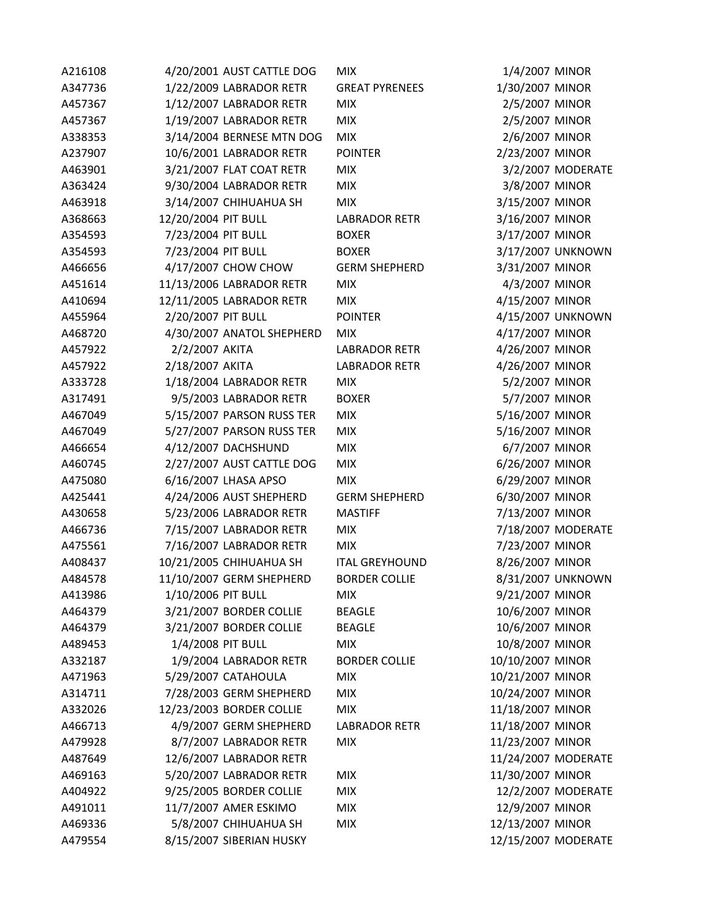| A216108 | 4/20/2001 AUST CATTLE DOG | <b>MIX</b>            | 1/4/2007 MINOR      |                    |
|---------|---------------------------|-----------------------|---------------------|--------------------|
| A347736 | 1/22/2009 LABRADOR RETR   | <b>GREAT PYRENEES</b> | 1/30/2007 MINOR     |                    |
| A457367 | 1/12/2007 LABRADOR RETR   | <b>MIX</b>            | 2/5/2007 MINOR      |                    |
| A457367 | 1/19/2007 LABRADOR RETR   | <b>MIX</b>            | 2/5/2007 MINOR      |                    |
| A338353 | 3/14/2004 BERNESE MTN DOG | <b>MIX</b>            | 2/6/2007 MINOR      |                    |
| A237907 | 10/6/2001 LABRADOR RETR   | <b>POINTER</b>        | 2/23/2007 MINOR     |                    |
| A463901 | 3/21/2007 FLAT COAT RETR  | <b>MIX</b>            |                     | 3/2/2007 MODERATE  |
| A363424 | 9/30/2004 LABRADOR RETR   | <b>MIX</b>            | 3/8/2007 MINOR      |                    |
| A463918 | 3/14/2007 CHIHUAHUA SH    | <b>MIX</b>            | 3/15/2007 MINOR     |                    |
| A368663 | 12/20/2004 PIT BULL       | <b>LABRADOR RETR</b>  | 3/16/2007 MINOR     |                    |
| A354593 | 7/23/2004 PIT BULL        | <b>BOXER</b>          | 3/17/2007 MINOR     |                    |
| A354593 | 7/23/2004 PIT BULL        | <b>BOXER</b>          |                     | 3/17/2007 UNKNOWN  |
| A466656 | 4/17/2007 CHOW CHOW       | <b>GERM SHEPHERD</b>  | 3/31/2007 MINOR     |                    |
| A451614 | 11/13/2006 LABRADOR RETR  | <b>MIX</b>            | 4/3/2007 MINOR      |                    |
| A410694 | 12/11/2005 LABRADOR RETR  | <b>MIX</b>            | 4/15/2007 MINOR     |                    |
| A455964 | 2/20/2007 PIT BULL        | <b>POINTER</b>        |                     | 4/15/2007 UNKNOWN  |
| A468720 | 4/30/2007 ANATOL SHEPHERD | <b>MIX</b>            | 4/17/2007 MINOR     |                    |
| A457922 | 2/2/2007 AKITA            | <b>LABRADOR RETR</b>  | 4/26/2007 MINOR     |                    |
| A457922 | 2/18/2007 AKITA           | <b>LABRADOR RETR</b>  | 4/26/2007 MINOR     |                    |
| A333728 | 1/18/2004 LABRADOR RETR   | <b>MIX</b>            | 5/2/2007 MINOR      |                    |
| A317491 | 9/5/2003 LABRADOR RETR    | <b>BOXER</b>          | 5/7/2007 MINOR      |                    |
| A467049 | 5/15/2007 PARSON RUSS TER | <b>MIX</b>            | 5/16/2007 MINOR     |                    |
| A467049 | 5/27/2007 PARSON RUSS TER | <b>MIX</b>            | 5/16/2007 MINOR     |                    |
| A466654 | 4/12/2007 DACHSHUND       | <b>MIX</b>            | 6/7/2007 MINOR      |                    |
| A460745 | 2/27/2007 AUST CATTLE DOG | <b>MIX</b>            | 6/26/2007 MINOR     |                    |
| A475080 | 6/16/2007 LHASA APSO      | <b>MIX</b>            | 6/29/2007 MINOR     |                    |
| A425441 | 4/24/2006 AUST SHEPHERD   | <b>GERM SHEPHERD</b>  | 6/30/2007 MINOR     |                    |
| A430658 | 5/23/2006 LABRADOR RETR   | <b>MASTIFF</b>        | 7/13/2007 MINOR     |                    |
| A466736 | 7/15/2007 LABRADOR RETR   | <b>MIX</b>            |                     | 7/18/2007 MODERATE |
| A475561 | 7/16/2007 LABRADOR RETR   | <b>MIX</b>            | 7/23/2007 MINOR     |                    |
| A408437 | 10/21/2005 CHIHUAHUA SH   | <b>ITAL GREYHOUND</b> | 8/26/2007 MINOR     |                    |
| A484578 | 11/10/2007 GERM SHEPHERD  | <b>BORDER COLLIE</b>  |                     | 8/31/2007 UNKNOWN  |
| A413986 | 1/10/2006 PIT BULL        | <b>MIX</b>            | 9/21/2007 MINOR     |                    |
| A464379 | 3/21/2007 BORDER COLLIE   | <b>BEAGLE</b>         | 10/6/2007 MINOR     |                    |
| A464379 | 3/21/2007 BORDER COLLIE   | <b>BEAGLE</b>         | 10/6/2007 MINOR     |                    |
| A489453 | 1/4/2008 PIT BULL         | <b>MIX</b>            | 10/8/2007 MINOR     |                    |
| A332187 | 1/9/2004 LABRADOR RETR    | <b>BORDER COLLIE</b>  | 10/10/2007 MINOR    |                    |
| A471963 | 5/29/2007 CATAHOULA       | <b>MIX</b>            | 10/21/2007 MINOR    |                    |
| A314711 | 7/28/2003 GERM SHEPHERD   | <b>MIX</b>            | 10/24/2007 MINOR    |                    |
| A332026 | 12/23/2003 BORDER COLLIE  | <b>MIX</b>            | 11/18/2007 MINOR    |                    |
| A466713 | 4/9/2007 GERM SHEPHERD    | <b>LABRADOR RETR</b>  | 11/18/2007 MINOR    |                    |
| A479928 | 8/7/2007 LABRADOR RETR    | <b>MIX</b>            | 11/23/2007 MINOR    |                    |
| A487649 | 12/6/2007 LABRADOR RETR   |                       | 11/24/2007 MODERATE |                    |
| A469163 | 5/20/2007 LABRADOR RETR   | <b>MIX</b>            | 11/30/2007 MINOR    |                    |
| A404922 | 9/25/2005 BORDER COLLIE   | <b>MIX</b>            |                     | 12/2/2007 MODERATE |
| A491011 | 11/7/2007 AMER ESKIMO     | <b>MIX</b>            | 12/9/2007 MINOR     |                    |
| A469336 | 5/8/2007 CHIHUAHUA SH     | <b>MIX</b>            | 12/13/2007 MINOR    |                    |
| A479554 | 8/15/2007 SIBERIAN HUSKY  |                       | 12/15/2007 MODERATE |                    |
|         |                           |                       |                     |                    |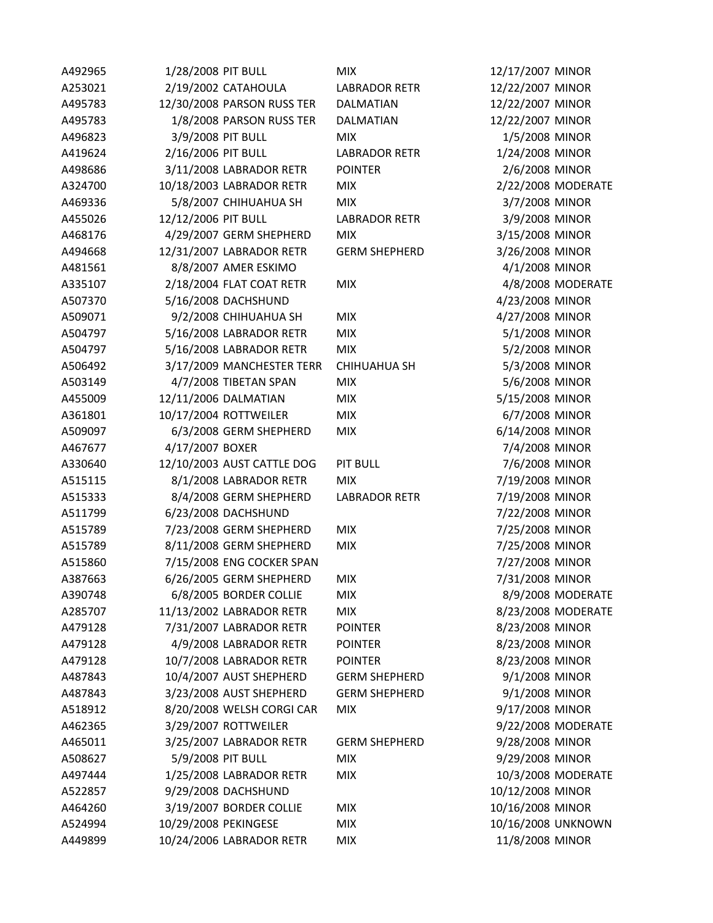| A492965 | 1/28/2008 PIT BULL         | <b>MIX</b>           | 12/17/2007 MINOR   |                    |
|---------|----------------------------|----------------------|--------------------|--------------------|
| A253021 | 2/19/2002 CATAHOULA        | <b>LABRADOR RETR</b> | 12/22/2007 MINOR   |                    |
| A495783 | 12/30/2008 PARSON RUSS TER | DALMATIAN            | 12/22/2007 MINOR   |                    |
| A495783 | 1/8/2008 PARSON RUSS TER   | <b>DALMATIAN</b>     | 12/22/2007 MINOR   |                    |
| A496823 | 3/9/2008 PIT BULL          | <b>MIX</b>           | 1/5/2008 MINOR     |                    |
| A419624 | 2/16/2006 PIT BULL         | <b>LABRADOR RETR</b> | 1/24/2008 MINOR    |                    |
| A498686 | 3/11/2008 LABRADOR RETR    | <b>POINTER</b>       | 2/6/2008 MINOR     |                    |
| A324700 | 10/18/2003 LABRADOR RETR   | <b>MIX</b>           |                    | 2/22/2008 MODERATE |
| A469336 | 5/8/2007 CHIHUAHUA SH      | <b>MIX</b>           | 3/7/2008 MINOR     |                    |
| A455026 | 12/12/2006 PIT BULL        | <b>LABRADOR RETR</b> | 3/9/2008 MINOR     |                    |
| A468176 | 4/29/2007 GERM SHEPHERD    | <b>MIX</b>           | 3/15/2008 MINOR    |                    |
| A494668 | 12/31/2007 LABRADOR RETR   | <b>GERM SHEPHERD</b> | 3/26/2008 MINOR    |                    |
| A481561 | 8/8/2007 AMER ESKIMO       |                      | 4/1/2008 MINOR     |                    |
| A335107 | 2/18/2004 FLAT COAT RETR   | <b>MIX</b>           |                    | 4/8/2008 MODERATE  |
| A507370 | 5/16/2008 DACHSHUND        |                      | 4/23/2008 MINOR    |                    |
| A509071 | 9/2/2008 CHIHUAHUA SH      | <b>MIX</b>           | 4/27/2008 MINOR    |                    |
| A504797 | 5/16/2008 LABRADOR RETR    | <b>MIX</b>           | 5/1/2008 MINOR     |                    |
| A504797 | 5/16/2008 LABRADOR RETR    | <b>MIX</b>           | 5/2/2008 MINOR     |                    |
| A506492 | 3/17/2009 MANCHESTER TERR  | <b>CHIHUAHUA SH</b>  | 5/3/2008 MINOR     |                    |
| A503149 | 4/7/2008 TIBETAN SPAN      | <b>MIX</b>           | 5/6/2008 MINOR     |                    |
| A455009 | 12/11/2006 DALMATIAN       | <b>MIX</b>           | 5/15/2008 MINOR    |                    |
| A361801 | 10/17/2004 ROTTWEILER      | <b>MIX</b>           | 6/7/2008 MINOR     |                    |
| A509097 | 6/3/2008 GERM SHEPHERD     | <b>MIX</b>           | 6/14/2008 MINOR    |                    |
| A467677 | 4/17/2007 BOXER            |                      | 7/4/2008 MINOR     |                    |
| A330640 | 12/10/2003 AUST CATTLE DOG | <b>PIT BULL</b>      | 7/6/2008 MINOR     |                    |
| A515115 | 8/1/2008 LABRADOR RETR     | <b>MIX</b>           | 7/19/2008 MINOR    |                    |
| A515333 | 8/4/2008 GERM SHEPHERD     | <b>LABRADOR RETR</b> | 7/19/2008 MINOR    |                    |
| A511799 | 6/23/2008 DACHSHUND        |                      | 7/22/2008 MINOR    |                    |
| A515789 | 7/23/2008 GERM SHEPHERD    | <b>MIX</b>           | 7/25/2008 MINOR    |                    |
| A515789 | 8/11/2008 GERM SHEPHERD    | <b>MIX</b>           | 7/25/2008 MINOR    |                    |
| A515860 | 7/15/2008 ENG COCKER SPAN  |                      | 7/27/2008 MINOR    |                    |
| A387663 | 6/26/2005 GERM SHEPHERD    | <b>MIX</b>           | 7/31/2008 MINOR    |                    |
| A390748 | 6/8/2005 BORDER COLLIE     | <b>MIX</b>           |                    | 8/9/2008 MODERATE  |
| A285707 | 11/13/2002 LABRADOR RETR   | <b>MIX</b>           |                    | 8/23/2008 MODERATE |
| A479128 | 7/31/2007 LABRADOR RETR    | <b>POINTER</b>       | 8/23/2008 MINOR    |                    |
| A479128 | 4/9/2008 LABRADOR RETR     | <b>POINTER</b>       | 8/23/2008 MINOR    |                    |
| A479128 | 10/7/2008 LABRADOR RETR    | <b>POINTER</b>       | 8/23/2008 MINOR    |                    |
| A487843 | 10/4/2007 AUST SHEPHERD    | <b>GERM SHEPHERD</b> | 9/1/2008 MINOR     |                    |
| A487843 | 3/23/2008 AUST SHEPHERD    | <b>GERM SHEPHERD</b> | 9/1/2008 MINOR     |                    |
| A518912 | 8/20/2008 WELSH CORGI CAR  | <b>MIX</b>           | 9/17/2008 MINOR    |                    |
| A462365 | 3/29/2007 ROTTWEILER       |                      |                    | 9/22/2008 MODERATE |
| A465011 | 3/25/2007 LABRADOR RETR    | <b>GERM SHEPHERD</b> | 9/28/2008 MINOR    |                    |
| A508627 | 5/9/2008 PIT BULL          | <b>MIX</b>           | 9/29/2008 MINOR    |                    |
| A497444 | 1/25/2008 LABRADOR RETR    | <b>MIX</b>           |                    | 10/3/2008 MODERATE |
| A522857 | 9/29/2008 DACHSHUND        |                      | 10/12/2008 MINOR   |                    |
| A464260 | 3/19/2007 BORDER COLLIE    | <b>MIX</b>           | 10/16/2008 MINOR   |                    |
| A524994 | 10/29/2008 PEKINGESE       | <b>MIX</b>           | 10/16/2008 UNKNOWN |                    |
| A449899 | 10/24/2006 LABRADOR RETR   | <b>MIX</b>           | 11/8/2008 MINOR    |                    |
|         |                            |                      |                    |                    |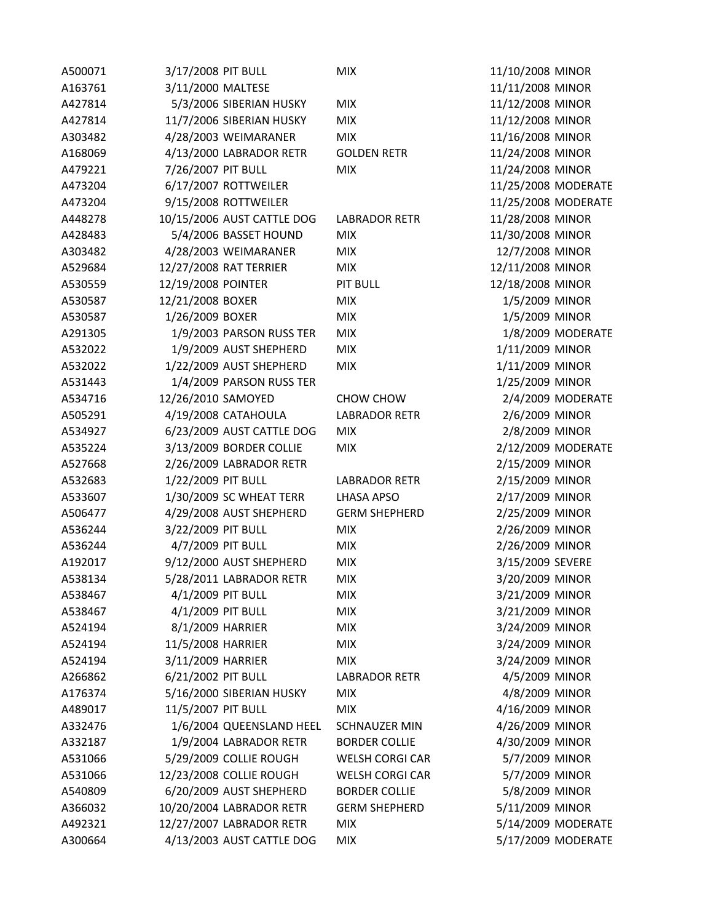| A500071 | 3/17/2008 PIT BULL |                            | <b>MIX</b>             | 11/10/2008 MINOR    |                    |
|---------|--------------------|----------------------------|------------------------|---------------------|--------------------|
| A163761 | 3/11/2000 MALTESE  |                            |                        | 11/11/2008 MINOR    |                    |
| A427814 |                    | 5/3/2006 SIBERIAN HUSKY    | <b>MIX</b>             | 11/12/2008 MINOR    |                    |
| A427814 |                    | 11/7/2006 SIBERIAN HUSKY   | <b>MIX</b>             | 11/12/2008 MINOR    |                    |
| A303482 |                    | 4/28/2003 WEIMARANER       | <b>MIX</b>             | 11/16/2008 MINOR    |                    |
| A168069 |                    | 4/13/2000 LABRADOR RETR    | <b>GOLDEN RETR</b>     | 11/24/2008 MINOR    |                    |
| A479221 | 7/26/2007 PIT BULL |                            | <b>MIX</b>             | 11/24/2008 MINOR    |                    |
| A473204 |                    | 6/17/2007 ROTTWEILER       |                        | 11/25/2008 MODERATE |                    |
| A473204 |                    | 9/15/2008 ROTTWEILER       |                        | 11/25/2008 MODERATE |                    |
| A448278 |                    | 10/15/2006 AUST CATTLE DOG | <b>LABRADOR RETR</b>   | 11/28/2008 MINOR    |                    |
| A428483 |                    | 5/4/2006 BASSET HOUND      | <b>MIX</b>             | 11/30/2008 MINOR    |                    |
| A303482 |                    | 4/28/2003 WEIMARANER       | <b>MIX</b>             | 12/7/2008 MINOR     |                    |
| A529684 |                    | 12/27/2008 RAT TERRIER     | <b>MIX</b>             | 12/11/2008 MINOR    |                    |
| A530559 | 12/19/2008 POINTER |                            | PIT BULL               | 12/18/2008 MINOR    |                    |
| A530587 | 12/21/2008 BOXER   |                            | <b>MIX</b>             | 1/5/2009 MINOR      |                    |
| A530587 | 1/26/2009 BOXER    |                            | <b>MIX</b>             | 1/5/2009 MINOR      |                    |
| A291305 |                    | 1/9/2003 PARSON RUSS TER   | <b>MIX</b>             |                     | 1/8/2009 MODERATE  |
| A532022 |                    | 1/9/2009 AUST SHEPHERD     | <b>MIX</b>             | 1/11/2009 MINOR     |                    |
| A532022 |                    | 1/22/2009 AUST SHEPHERD    | <b>MIX</b>             | 1/11/2009 MINOR     |                    |
| A531443 |                    | 1/4/2009 PARSON RUSS TER   |                        | 1/25/2009 MINOR     |                    |
| A534716 | 12/26/2010 SAMOYED |                            | CHOW CHOW              |                     | 2/4/2009 MODERATE  |
| A505291 |                    | 4/19/2008 CATAHOULA        | <b>LABRADOR RETR</b>   | 2/6/2009 MINOR      |                    |
| A534927 |                    | 6/23/2009 AUST CATTLE DOG  | <b>MIX</b>             | 2/8/2009 MINOR      |                    |
| A535224 |                    | 3/13/2009 BORDER COLLIE    | <b>MIX</b>             |                     | 2/12/2009 MODERATE |
| A527668 |                    | 2/26/2009 LABRADOR RETR    |                        | 2/15/2009 MINOR     |                    |
|         |                    |                            |                        |                     |                    |
| A532683 | 1/22/2009 PIT BULL |                            | <b>LABRADOR RETR</b>   | 2/15/2009 MINOR     |                    |
| A533607 |                    | 1/30/2009 SC WHEAT TERR    | LHASA APSO             | 2/17/2009 MINOR     |                    |
| A506477 |                    | 4/29/2008 AUST SHEPHERD    | <b>GERM SHEPHERD</b>   | 2/25/2009 MINOR     |                    |
| A536244 | 3/22/2009 PIT BULL |                            | <b>MIX</b>             | 2/26/2009 MINOR     |                    |
| A536244 | 4/7/2009 PIT BULL  |                            | <b>MIX</b>             | 2/26/2009 MINOR     |                    |
| A192017 |                    | 9/12/2000 AUST SHEPHERD    | <b>MIX</b>             | 3/15/2009 SEVERE    |                    |
| A538134 |                    | 5/28/2011 LABRADOR RETR    | <b>MIX</b>             | 3/20/2009 MINOR     |                    |
| A538467 | 4/1/2009 PIT BULL  |                            | <b>MIX</b>             | 3/21/2009 MINOR     |                    |
| A538467 | 4/1/2009 PIT BULL  |                            | <b>MIX</b>             | 3/21/2009 MINOR     |                    |
| A524194 | 8/1/2009 HARRIER   |                            | <b>MIX</b>             | 3/24/2009 MINOR     |                    |
| A524194 | 11/5/2008 HARRIER  |                            | <b>MIX</b>             | 3/24/2009 MINOR     |                    |
| A524194 | 3/11/2009 HARRIER  |                            | <b>MIX</b>             | 3/24/2009 MINOR     |                    |
| A266862 | 6/21/2002 PIT BULL |                            | <b>LABRADOR RETR</b>   | 4/5/2009 MINOR      |                    |
| A176374 |                    | 5/16/2000 SIBERIAN HUSKY   | <b>MIX</b>             | 4/8/2009 MINOR      |                    |
| A489017 | 11/5/2007 PIT BULL |                            | <b>MIX</b>             | 4/16/2009 MINOR     |                    |
| A332476 |                    | 1/6/2004 QUEENSLAND HEEL   | <b>SCHNAUZER MIN</b>   | 4/26/2009 MINOR     |                    |
| A332187 |                    | 1/9/2004 LABRADOR RETR     | <b>BORDER COLLIE</b>   | 4/30/2009 MINOR     |                    |
| A531066 |                    | 5/29/2009 COLLIE ROUGH     | <b>WELSH CORGI CAR</b> | 5/7/2009 MINOR      |                    |
| A531066 |                    | 12/23/2008 COLLIE ROUGH    | WELSH CORGI CAR        | 5/7/2009 MINOR      |                    |
| A540809 |                    | 6/20/2009 AUST SHEPHERD    | <b>BORDER COLLIE</b>   | 5/8/2009 MINOR      |                    |
| A366032 |                    | 10/20/2004 LABRADOR RETR   | <b>GERM SHEPHERD</b>   | 5/11/2009 MINOR     |                    |
| A492321 |                    | 12/27/2007 LABRADOR RETR   | <b>MIX</b>             |                     | 5/14/2009 MODERATE |
| A300664 |                    | 4/13/2003 AUST CATTLE DOG  | <b>MIX</b>             |                     | 5/17/2009 MODERATE |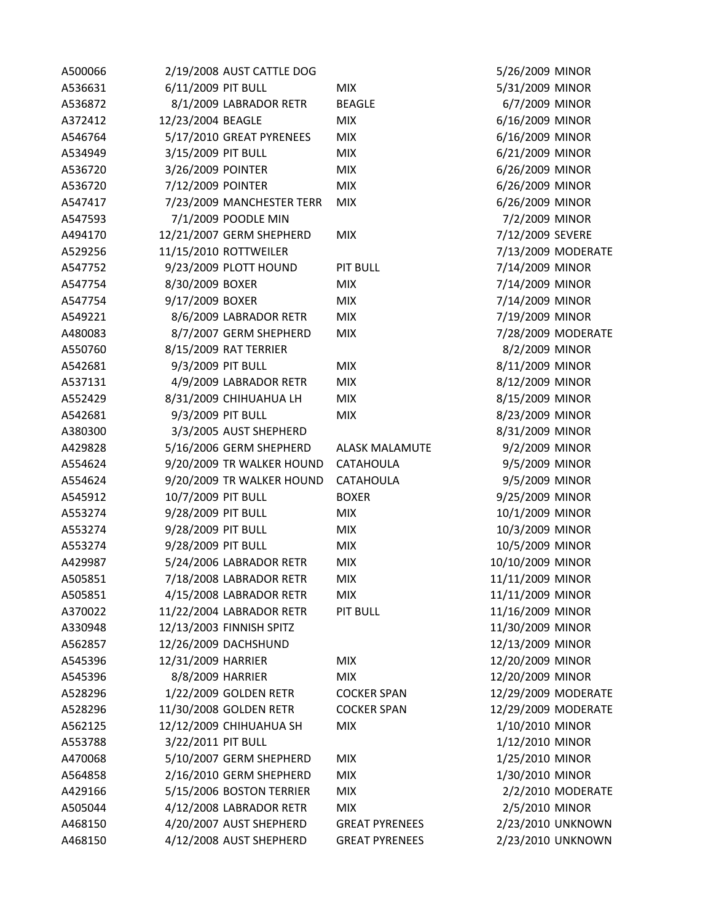| A500066 |                    | 2/19/2008 AUST CATTLE DOG              |                       |             |
|---------|--------------------|----------------------------------------|-----------------------|-------------|
| A536631 | 6/11/2009 PIT BULL |                                        | <b>MIX</b>            |             |
| A536872 |                    | 8/1/2009 LABRADOR RETR                 | <b>BEAGLE</b>         |             |
| A372412 | 12/23/2004 BEAGLE  |                                        | <b>MIX</b>            |             |
| A546764 |                    | 5/17/2010 GREAT PYRENEES               | <b>MIX</b>            |             |
| A534949 | 3/15/2009 PIT BULL |                                        | <b>MIX</b>            |             |
| A536720 | 3/26/2009 POINTER  |                                        | <b>MIX</b>            |             |
| A536720 | 7/12/2009 POINTER  |                                        | <b>MIX</b>            |             |
| A547417 |                    | 7/23/2009 MANCHESTER TERR              | <b>MIX</b>            |             |
| A547593 |                    | 7/1/2009 POODLE MIN                    |                       |             |
| A494170 |                    | 12/21/2007 GERM SHEPHERD               | <b>MIX</b>            |             |
| A529256 |                    | 11/15/2010 ROTTWEILER                  |                       |             |
| A547752 |                    | 9/23/2009 PLOTT HOUND                  | <b>PIT BULL</b>       |             |
| A547754 | 8/30/2009 BOXER    |                                        | <b>MIX</b>            |             |
| A547754 | 9/17/2009 BOXER    |                                        | <b>MIX</b>            |             |
| A549221 |                    | 8/6/2009 LABRADOR RETR                 | <b>MIX</b>            |             |
| A480083 |                    | 8/7/2007 GERM SHEPHERD                 | <b>MIX</b>            |             |
| A550760 |                    | 8/15/2009 RAT TERRIER                  |                       |             |
| A542681 | 9/3/2009 PIT BULL  |                                        | <b>MIX</b>            |             |
| A537131 |                    | 4/9/2009 LABRADOR RETR                 | <b>MIX</b>            |             |
| A552429 |                    | 8/31/2009 CHIHUAHUA LH                 | <b>MIX</b>            |             |
| A542681 | 9/3/2009 PIT BULL  |                                        | <b>MIX</b>            |             |
| A380300 |                    | 3/3/2005 AUST SHEPHERD                 |                       |             |
| A429828 |                    | 5/16/2006 GERM SHEPHERD ALASK MALAMUTE |                       |             |
| A554624 |                    | 9/20/2009 TR WALKER HOUND CATAHOULA    |                       |             |
| A554624 |                    | 9/20/2009 TR WALKER HOUND              | <b>CATAHOULA</b>      |             |
| A545912 | 10/7/2009 PIT BULL |                                        | <b>BOXER</b>          |             |
| A553274 | 9/28/2009 PIT BULL |                                        | <b>MIX</b>            |             |
| A553274 | 9/28/2009 PIT BULL |                                        | <b>MIX</b>            |             |
| A553274 | 9/28/2009 PIT BULL |                                        | <b>MIX</b>            |             |
| A429987 |                    | 5/24/2006 LABRADOR RETR                | <b>MIX</b>            | 1(          |
| A505851 |                    | 7/18/2008 LABRADOR RETR                | <b>MIX</b>            | 1:          |
| A505851 |                    | 4/15/2008 LABRADOR RETR                | <b>MIX</b>            | $1^{\circ}$ |
| A370022 |                    | 11/22/2004 LABRADOR RETR               | <b>PIT BULL</b>       | $1^{\circ}$ |
| A330948 |                    | 12/13/2003 FINNISH SPITZ               |                       | 1:          |
| A562857 |                    | 12/26/2009 DACHSHUND                   |                       | 1.          |
| A545396 | 12/31/2009 HARRIER |                                        | <b>MIX</b>            | 1.          |
| A545396 | 8/8/2009 HARRIER   |                                        | <b>MIX</b>            | 1.          |
| A528296 |                    | 1/22/2009 GOLDEN RETR                  | <b>COCKER SPAN</b>    | 1.          |
| A528296 |                    | 11/30/2008 GOLDEN RETR                 | <b>COCKER SPAN</b>    | 1.          |
| A562125 |                    | 12/12/2009 CHIHUAHUA SH                | <b>MIX</b>            |             |
| A553788 | 3/22/2011 PIT BULL |                                        |                       |             |
| A470068 |                    | 5/10/2007 GERM SHEPHERD                | <b>MIX</b>            |             |
| A564858 |                    | 2/16/2010 GERM SHEPHERD                | <b>MIX</b>            |             |
| A429166 |                    | 5/15/2006 BOSTON TERRIER               | <b>MIX</b>            |             |
| A505044 |                    | 4/12/2008 LABRADOR RETR                | <b>MIX</b>            |             |
| A468150 |                    | 4/20/2007 AUST SHEPHERD                | <b>GREAT PYRENEES</b> |             |
| A468150 |                    | 4/12/2008 AUST SHEPHERD                | <b>GREAT PYRENEES</b> |             |

5/26/2009 MINOR 5/31/2009 MINOR 6/7/2009 MINOR 6/16/2009 MINOR 6/16/2009 MINOR 6/21/2009 MINOR 6/26/2009 MINOR 6/26/2009 MINOR 6/26/2009 MINOR 7/2/2009 MINOR 7/12/2009 SEVERE 7/13/2009 MODERATE 7/14/2009 MINOR 7/14/2009 MINOR 7/14/2009 MINOR 7/19/2009 MINOR 7/28/2009 MODERATE 8/2/2009 MINOR 8/11/2009 MINOR 8/12/2009 MINOR 8/15/2009 MINOR 8/23/2009 MINOR 8/31/2009 MINOR 9/2/2009 MINOR 9/5/2009 MINOR 9/5/2009 MINOR 9/25/2009 MINOR 10/1/2009 MINOR 10/3/2009 MINOR 10/5/2009 MINOR 0/10/2009 MINOR 1/11/2009 MINOR 1/11/2009 MINOR 1/16/2009 MINOR 1/30/2009 MINOR 2/13/2009 MINOR 2/20/2009 MINOR 2/20/2009 MINOR 2/29/2009 MODERATE 2/29/2009 MODERATE 1/10/2010 MINOR 1/12/2010 MINOR 1/25/2010 MINOR 1/30/2010 MINOR 2/2/2010 MODERATE 2/5/2010 MINOR 2/23/2010 UNKNOWN 2/23/2010 UNKNOWN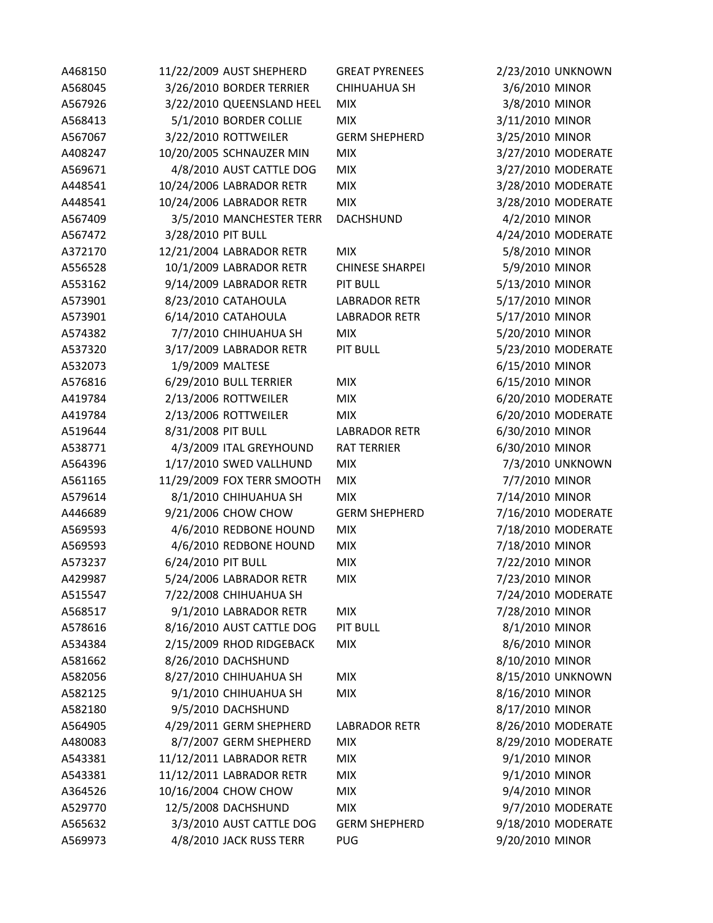| A468150 |                    | 11/22/2009 AUST SHEPHERD   | <b>GREAT PYRENEES</b>  |                 | 2/23/2010 UNKNOWN  |
|---------|--------------------|----------------------------|------------------------|-----------------|--------------------|
| A568045 |                    | 3/26/2010 BORDER TERRIER   | <b>CHIHUAHUA SH</b>    | 3/6/2010 MINOR  |                    |
| A567926 |                    | 3/22/2010 QUEENSLAND HEEL  | <b>MIX</b>             | 3/8/2010 MINOR  |                    |
| A568413 |                    | 5/1/2010 BORDER COLLIE     | <b>MIX</b>             | 3/11/2010 MINOR |                    |
| A567067 |                    | 3/22/2010 ROTTWEILER       | <b>GERM SHEPHERD</b>   | 3/25/2010 MINOR |                    |
| A408247 |                    | 10/20/2005 SCHNAUZER MIN   | <b>MIX</b>             |                 | 3/27/2010 MODERATE |
| A569671 |                    | 4/8/2010 AUST CATTLE DOG   | <b>MIX</b>             |                 | 3/27/2010 MODERATE |
| A448541 |                    | 10/24/2006 LABRADOR RETR   | <b>MIX</b>             |                 | 3/28/2010 MODERATE |
| A448541 |                    | 10/24/2006 LABRADOR RETR   | <b>MIX</b>             |                 | 3/28/2010 MODERATE |
| A567409 |                    | 3/5/2010 MANCHESTER TERR   | DACHSHUND              | 4/2/2010 MINOR  |                    |
| A567472 | 3/28/2010 PIT BULL |                            |                        |                 | 4/24/2010 MODERATE |
| A372170 |                    | 12/21/2004 LABRADOR RETR   | <b>MIX</b>             | 5/8/2010 MINOR  |                    |
| A556528 |                    | 10/1/2009 LABRADOR RETR    | <b>CHINESE SHARPEI</b> | 5/9/2010 MINOR  |                    |
| A553162 |                    | 9/14/2009 LABRADOR RETR    | PIT BULL               | 5/13/2010 MINOR |                    |
| A573901 |                    | 8/23/2010 CATAHOULA        | <b>LABRADOR RETR</b>   | 5/17/2010 MINOR |                    |
| A573901 |                    | 6/14/2010 CATAHOULA        | <b>LABRADOR RETR</b>   | 5/17/2010 MINOR |                    |
| A574382 |                    | 7/7/2010 CHIHUAHUA SH      | <b>MIX</b>             | 5/20/2010 MINOR |                    |
| A537320 |                    | 3/17/2009 LABRADOR RETR    | <b>PIT BULL</b>        |                 | 5/23/2010 MODERATE |
| A532073 | 1/9/2009 MALTESE   |                            |                        | 6/15/2010 MINOR |                    |
| A576816 |                    | 6/29/2010 BULL TERRIER     | <b>MIX</b>             | 6/15/2010 MINOR |                    |
| A419784 |                    | 2/13/2006 ROTTWEILER       | <b>MIX</b>             |                 | 6/20/2010 MODERATE |
| A419784 |                    | 2/13/2006 ROTTWEILER       | <b>MIX</b>             |                 | 6/20/2010 MODERATE |
| A519644 | 8/31/2008 PIT BULL |                            | <b>LABRADOR RETR</b>   | 6/30/2010 MINOR |                    |
| A538771 |                    | 4/3/2009 ITAL GREYHOUND    | <b>RAT TERRIER</b>     | 6/30/2010 MINOR |                    |
| A564396 |                    | 1/17/2010 SWED VALLHUND    | <b>MIX</b>             |                 | 7/3/2010 UNKNOWN   |
| A561165 |                    | 11/29/2009 FOX TERR SMOOTH | <b>MIX</b>             | 7/7/2010 MINOR  |                    |
| A579614 |                    | 8/1/2010 CHIHUAHUA SH      | <b>MIX</b>             | 7/14/2010 MINOR |                    |
| A446689 |                    | 9/21/2006 CHOW CHOW        | <b>GERM SHEPHERD</b>   |                 | 7/16/2010 MODERATE |
| A569593 |                    | 4/6/2010 REDBONE HOUND     | <b>MIX</b>             |                 | 7/18/2010 MODERATE |
| A569593 |                    | 4/6/2010 REDBONE HOUND     | <b>MIX</b>             | 7/18/2010 MINOR |                    |
| A573237 | 6/24/2010 PIT BULL |                            | <b>MIX</b>             | 7/22/2010 MINOR |                    |
| A429987 |                    | 5/24/2006 LABRADOR RETR    | <b>MIX</b>             | 7/23/2010 MINOR |                    |
| A515547 |                    | 7/22/2008 CHIHUAHUA SH     |                        |                 | 7/24/2010 MODERATE |
| A568517 |                    | 9/1/2010 LABRADOR RETR     | <b>MIX</b>             | 7/28/2010 MINOR |                    |
| A578616 |                    | 8/16/2010 AUST CATTLE DOG  | <b>PIT BULL</b>        | 8/1/2010 MINOR  |                    |
| A534384 |                    | 2/15/2009 RHOD RIDGEBACK   | <b>MIX</b>             | 8/6/2010 MINOR  |                    |
| A581662 |                    | 8/26/2010 DACHSHUND        |                        | 8/10/2010 MINOR |                    |
| A582056 |                    | 8/27/2010 CHIHUAHUA SH     | <b>MIX</b>             |                 | 8/15/2010 UNKNOWN  |
| A582125 |                    | 9/1/2010 CHIHUAHUA SH      | <b>MIX</b>             | 8/16/2010 MINOR |                    |
| A582180 |                    | 9/5/2010 DACHSHUND         |                        | 8/17/2010 MINOR |                    |
| A564905 |                    | 4/29/2011 GERM SHEPHERD    | <b>LABRADOR RETR</b>   |                 | 8/26/2010 MODERATE |
| A480083 |                    | 8/7/2007 GERM SHEPHERD     | <b>MIX</b>             |                 | 8/29/2010 MODERATE |
| A543381 |                    | 11/12/2011 LABRADOR RETR   | <b>MIX</b>             | 9/1/2010 MINOR  |                    |
| A543381 |                    | 11/12/2011 LABRADOR RETR   | <b>MIX</b>             | 9/1/2010 MINOR  |                    |
| A364526 |                    | 10/16/2004 CHOW CHOW       | <b>MIX</b>             | 9/4/2010 MINOR  |                    |
| A529770 |                    | 12/5/2008 DACHSHUND        | <b>MIX</b>             |                 | 9/7/2010 MODERATE  |
| A565632 |                    | 3/3/2010 AUST CATTLE DOG   | <b>GERM SHEPHERD</b>   |                 | 9/18/2010 MODERATE |
| A569973 |                    | 4/8/2010 JACK RUSS TERR    | <b>PUG</b>             | 9/20/2010 MINOR |                    |
|         |                    |                            |                        |                 |                    |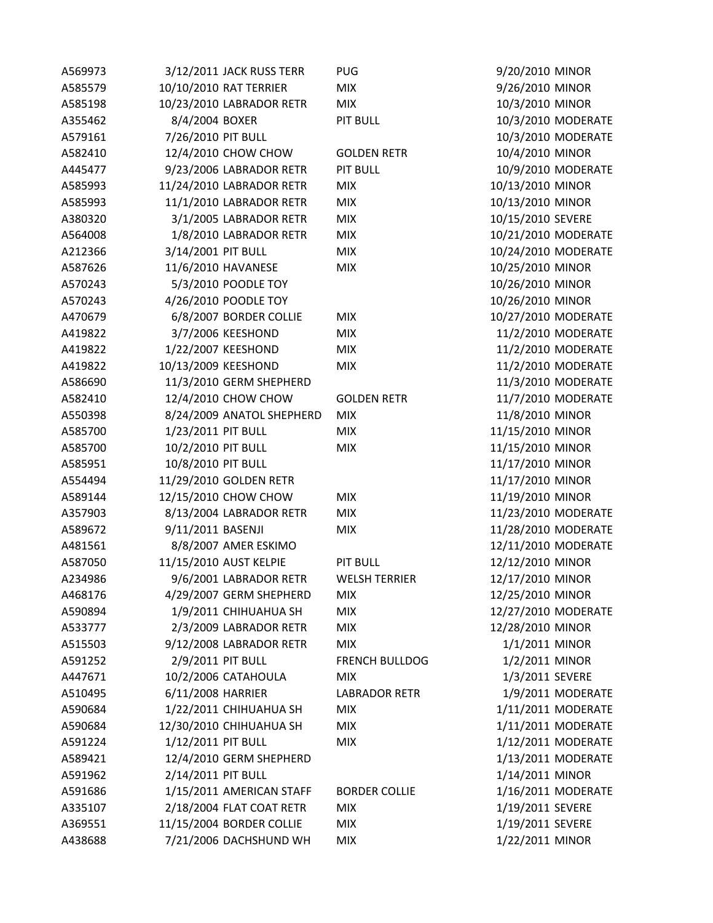| A569973 | 3/12/2011 JACK RUSS TERR  | <b>PUG</b>            | 9/20/2010 MINOR     |
|---------|---------------------------|-----------------------|---------------------|
| A585579 | 10/10/2010 RAT TERRIER    | <b>MIX</b>            | 9/26/2010 MINOR     |
| A585198 | 10/23/2010 LABRADOR RETR  | <b>MIX</b>            | 10/3/2010 MINOR     |
| A355462 | 8/4/2004 BOXER            | <b>PIT BULL</b>       | 10/3/2010 MODERATE  |
| A579161 | 7/26/2010 PIT BULL        |                       | 10/3/2010 MODERATE  |
| A582410 | 12/4/2010 CHOW CHOW       | <b>GOLDEN RETR</b>    | 10/4/2010 MINOR     |
| A445477 | 9/23/2006 LABRADOR RETR   | <b>PIT BULL</b>       | 10/9/2010 MODERATE  |
| A585993 | 11/24/2010 LABRADOR RETR  | <b>MIX</b>            | 10/13/2010 MINOR    |
| A585993 | 11/1/2010 LABRADOR RETR   | <b>MIX</b>            | 10/13/2010 MINOR    |
| A380320 | 3/1/2005 LABRADOR RETR    | <b>MIX</b>            | 10/15/2010 SEVERE   |
| A564008 | 1/8/2010 LABRADOR RETR    | <b>MIX</b>            | 10/21/2010 MODERATE |
| A212366 | 3/14/2001 PIT BULL        | <b>MIX</b>            | 10/24/2010 MODERATE |
| A587626 | 11/6/2010 HAVANESE        | <b>MIX</b>            | 10/25/2010 MINOR    |
| A570243 | 5/3/2010 POODLE TOY       |                       | 10/26/2010 MINOR    |
| A570243 | 4/26/2010 POODLE TOY      |                       | 10/26/2010 MINOR    |
| A470679 | 6/8/2007 BORDER COLLIE    | <b>MIX</b>            | 10/27/2010 MODERATE |
| A419822 | 3/7/2006 KEESHOND         | <b>MIX</b>            | 11/2/2010 MODERATE  |
| A419822 | 1/22/2007 KEESHOND        | <b>MIX</b>            | 11/2/2010 MODERATE  |
| A419822 | 10/13/2009 KEESHOND       | <b>MIX</b>            | 11/2/2010 MODERATE  |
| A586690 | 11/3/2010 GERM SHEPHERD   |                       | 11/3/2010 MODERATE  |
| A582410 | 12/4/2010 CHOW CHOW       | <b>GOLDEN RETR</b>    | 11/7/2010 MODERATE  |
| A550398 | 8/24/2009 ANATOL SHEPHERD | <b>MIX</b>            | 11/8/2010 MINOR     |
| A585700 | 1/23/2011 PIT BULL        | <b>MIX</b>            | 11/15/2010 MINOR    |
| A585700 | 10/2/2010 PIT BULL        | <b>MIX</b>            | 11/15/2010 MINOR    |
| A585951 | 10/8/2010 PIT BULL        |                       | 11/17/2010 MINOR    |
| A554494 | 11/29/2010 GOLDEN RETR    |                       | 11/17/2010 MINOR    |
| A589144 | 12/15/2010 CHOW CHOW      | <b>MIX</b>            | 11/19/2010 MINOR    |
| A357903 | 8/13/2004 LABRADOR RETR   | <b>MIX</b>            | 11/23/2010 MODERATE |
| A589672 | 9/11/2011 BASENJI         | <b>MIX</b>            | 11/28/2010 MODERATE |
| A481561 | 8/8/2007 AMER ESKIMO      |                       | 12/11/2010 MODERATE |
| A587050 | 11/15/2010 AUST KELPIE    | <b>PIT BULL</b>       | 12/12/2010 MINOR    |
| A234986 | 9/6/2001 LABRADOR RETR    | <b>WELSH TERRIER</b>  | 12/17/2010 MINOR    |
| A468176 | 4/29/2007 GERM SHEPHERD   | <b>MIX</b>            | 12/25/2010 MINOR    |
| A590894 | 1/9/2011 CHIHUAHUA SH     | <b>MIX</b>            | 12/27/2010 MODERATE |
| A533777 | 2/3/2009 LABRADOR RETR    | <b>MIX</b>            | 12/28/2010 MINOR    |
| A515503 | 9/12/2008 LABRADOR RETR   | <b>MIX</b>            | 1/1/2011 MINOR      |
| A591252 | 2/9/2011 PIT BULL         | <b>FRENCH BULLDOG</b> | 1/2/2011 MINOR      |
| A447671 | 10/2/2006 CATAHOULA       | <b>MIX</b>            | 1/3/2011 SEVERE     |
| A510495 | 6/11/2008 HARRIER         | <b>LABRADOR RETR</b>  | 1/9/2011 MODERATE   |
| A590684 | 1/22/2011 CHIHUAHUA SH    | <b>MIX</b>            | 1/11/2011 MODERATE  |
| A590684 | 12/30/2010 CHIHUAHUA SH   | <b>MIX</b>            | 1/11/2011 MODERATE  |
| A591224 | 1/12/2011 PIT BULL        | <b>MIX</b>            | 1/12/2011 MODERATE  |
| A589421 | 12/4/2010 GERM SHEPHERD   |                       | 1/13/2011 MODERATE  |
| A591962 | 2/14/2011 PIT BULL        |                       | 1/14/2011 MINOR     |
| A591686 | 1/15/2011 AMERICAN STAFF  | <b>BORDER COLLIE</b>  | 1/16/2011 MODERATE  |
| A335107 | 2/18/2004 FLAT COAT RETR  | <b>MIX</b>            | 1/19/2011 SEVERE    |
| A369551 | 11/15/2004 BORDER COLLIE  | <b>MIX</b>            | 1/19/2011 SEVERE    |
| A438688 | 7/21/2006 DACHSHUND WH    | <b>MIX</b>            | 1/22/2011 MINOR     |
|         |                           |                       |                     |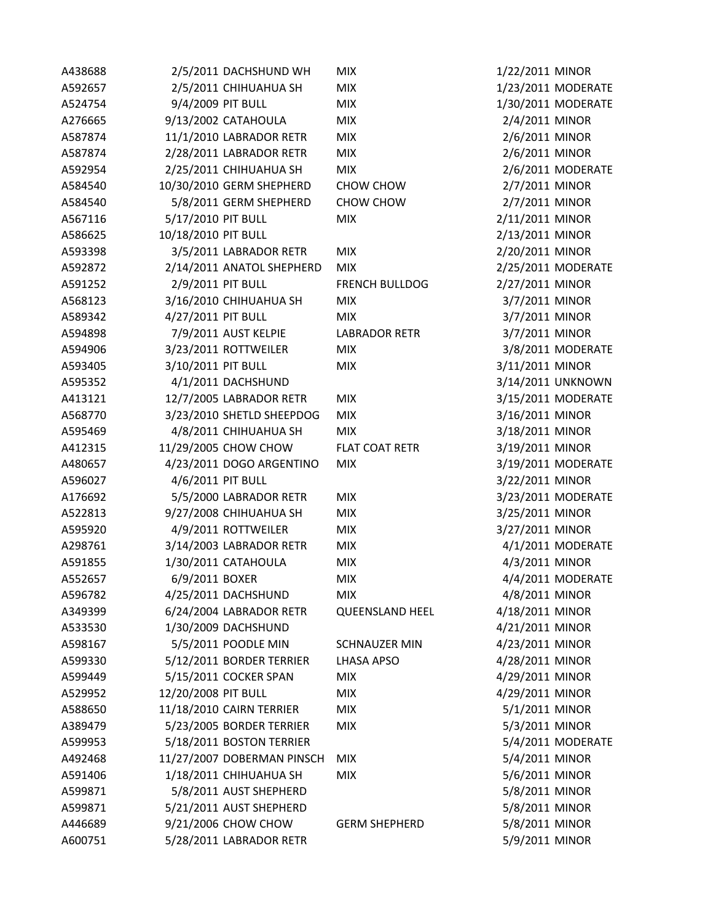| A438688 |                     | 2/5/2011 DACHSHUND WH      | <b>MIX</b>             | 1/22/2011 MINOR |                    |
|---------|---------------------|----------------------------|------------------------|-----------------|--------------------|
| A592657 |                     | 2/5/2011 CHIHUAHUA SH      | <b>MIX</b>             |                 | 1/23/2011 MODERATE |
| A524754 | 9/4/2009 PIT BULL   |                            | <b>MIX</b>             |                 | 1/30/2011 MODERATE |
| A276665 |                     | 9/13/2002 CATAHOULA        | <b>MIX</b>             | 2/4/2011 MINOR  |                    |
| A587874 |                     | 11/1/2010 LABRADOR RETR    | <b>MIX</b>             | 2/6/2011 MINOR  |                    |
| A587874 |                     | 2/28/2011 LABRADOR RETR    | <b>MIX</b>             | 2/6/2011 MINOR  |                    |
| A592954 |                     | 2/25/2011 CHIHUAHUA SH     | <b>MIX</b>             |                 | 2/6/2011 MODERATE  |
| A584540 |                     | 10/30/2010 GERM SHEPHERD   | CHOW CHOW              | 2/7/2011 MINOR  |                    |
| A584540 |                     | 5/8/2011 GERM SHEPHERD     | CHOW CHOW              | 2/7/2011 MINOR  |                    |
| A567116 | 5/17/2010 PIT BULL  |                            | <b>MIX</b>             | 2/11/2011 MINOR |                    |
| A586625 | 10/18/2010 PIT BULL |                            |                        | 2/13/2011 MINOR |                    |
| A593398 |                     | 3/5/2011 LABRADOR RETR     | <b>MIX</b>             | 2/20/2011 MINOR |                    |
| A592872 |                     | 2/14/2011 ANATOL SHEPHERD  | <b>MIX</b>             |                 | 2/25/2011 MODERATE |
| A591252 | 2/9/2011 PIT BULL   |                            | <b>FRENCH BULLDOG</b>  | 2/27/2011 MINOR |                    |
| A568123 |                     | 3/16/2010 CHIHUAHUA SH     | <b>MIX</b>             | 3/7/2011 MINOR  |                    |
| A589342 | 4/27/2011 PIT BULL  |                            | <b>MIX</b>             | 3/7/2011 MINOR  |                    |
| A594898 |                     | 7/9/2011 AUST KELPIE       | <b>LABRADOR RETR</b>   | 3/7/2011 MINOR  |                    |
| A594906 |                     | 3/23/2011 ROTTWEILER       | <b>MIX</b>             |                 | 3/8/2011 MODERATE  |
| A593405 | 3/10/2011 PIT BULL  |                            | <b>MIX</b>             | 3/11/2011 MINOR |                    |
| A595352 |                     | 4/1/2011 DACHSHUND         |                        |                 | 3/14/2011 UNKNOWN  |
| A413121 |                     | 12/7/2005 LABRADOR RETR    | <b>MIX</b>             |                 | 3/15/2011 MODERATE |
| A568770 |                     | 3/23/2010 SHETLD SHEEPDOG  | <b>MIX</b>             | 3/16/2011 MINOR |                    |
| A595469 |                     | 4/8/2011 CHIHUAHUA SH      | <b>MIX</b>             | 3/18/2011 MINOR |                    |
| A412315 |                     | 11/29/2005 CHOW CHOW       | <b>FLAT COAT RETR</b>  | 3/19/2011 MINOR |                    |
| A480657 |                     | 4/23/2011 DOGO ARGENTINO   | <b>MIX</b>             |                 | 3/19/2011 MODERATE |
| A596027 | 4/6/2011 PIT BULL   |                            |                        | 3/22/2011 MINOR |                    |
| A176692 |                     | 5/5/2000 LABRADOR RETR     | <b>MIX</b>             |                 | 3/23/2011 MODERATE |
| A522813 |                     | 9/27/2008 CHIHUAHUA SH     | <b>MIX</b>             | 3/25/2011 MINOR |                    |
| A595920 |                     | 4/9/2011 ROTTWEILER        | <b>MIX</b>             | 3/27/2011 MINOR |                    |
| A298761 |                     | 3/14/2003 LABRADOR RETR    | <b>MIX</b>             |                 | 4/1/2011 MODERATE  |
| A591855 |                     | 1/30/2011 CATAHOULA        | <b>MIX</b>             | 4/3/2011 MINOR  |                    |
| A552657 | 6/9/2011 BOXER      |                            | <b>MIX</b>             |                 | 4/4/2011 MODERATE  |
| A596782 |                     | 4/25/2011 DACHSHUND        | <b>MIX</b>             | 4/8/2011 MINOR  |                    |
| A349399 |                     | 6/24/2004 LABRADOR RETR    | <b>QUEENSLAND HEEL</b> | 4/18/2011 MINOR |                    |
| A533530 |                     | 1/30/2009 DACHSHUND        |                        | 4/21/2011 MINOR |                    |
| A598167 |                     | 5/5/2011 POODLE MIN        | <b>SCHNAUZER MIN</b>   | 4/23/2011 MINOR |                    |
| A599330 |                     | 5/12/2011 BORDER TERRIER   | <b>LHASA APSO</b>      | 4/28/2011 MINOR |                    |
| A599449 |                     | 5/15/2011 COCKER SPAN      | <b>MIX</b>             | 4/29/2011 MINOR |                    |
| A529952 | 12/20/2008 PIT BULL |                            | <b>MIX</b>             | 4/29/2011 MINOR |                    |
| A588650 |                     | 11/18/2010 CAIRN TERRIER   | <b>MIX</b>             | 5/1/2011 MINOR  |                    |
| A389479 |                     | 5/23/2005 BORDER TERRIER   | <b>MIX</b>             | 5/3/2011 MINOR  |                    |
| A599953 |                     | 5/18/2011 BOSTON TERRIER   |                        |                 | 5/4/2011 MODERATE  |
| A492468 |                     | 11/27/2007 DOBERMAN PINSCH | <b>MIX</b>             | 5/4/2011 MINOR  |                    |
| A591406 |                     | 1/18/2011 CHIHUAHUA SH     | <b>MIX</b>             | 5/6/2011 MINOR  |                    |
| A599871 |                     | 5/8/2011 AUST SHEPHERD     |                        | 5/8/2011 MINOR  |                    |
| A599871 |                     | 5/21/2011 AUST SHEPHERD    |                        | 5/8/2011 MINOR  |                    |
| A446689 |                     | 9/21/2006 CHOW CHOW        | <b>GERM SHEPHERD</b>   | 5/8/2011 MINOR  |                    |
| A600751 |                     | 5/28/2011 LABRADOR RETR    |                        | 5/9/2011 MINOR  |                    |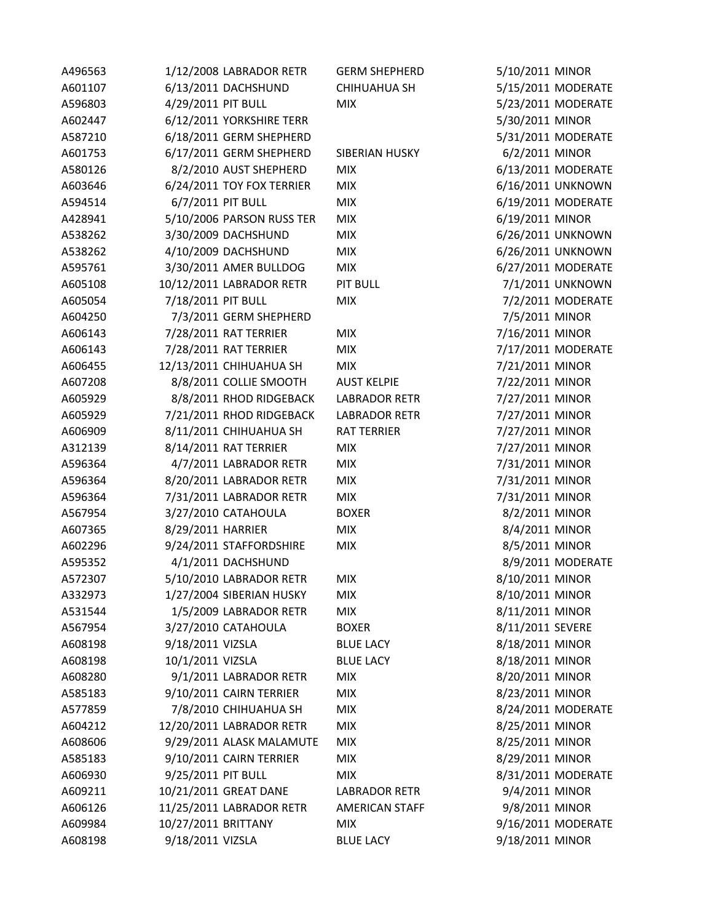| A496563 | 1/12/2008 LABRADOR RETR   | <b>GERM SHEPHERD</b>  | 5/10/2011 MINOR    |
|---------|---------------------------|-----------------------|--------------------|
| A601107 | 6/13/2011 DACHSHUND       | CHIHUAHUA SH          | 5/15/2011 MODERATE |
| A596803 | 4/29/2011 PIT BULL        | <b>MIX</b>            | 5/23/2011 MODERATE |
| A602447 | 6/12/2011 YORKSHIRE TERR  |                       | 5/30/2011 MINOR    |
| A587210 | 6/18/2011 GERM SHEPHERD   |                       | 5/31/2011 MODERATE |
| A601753 | 6/17/2011 GERM SHEPHERD   | SIBERIAN HUSKY        | 6/2/2011 MINOR     |
| A580126 | 8/2/2010 AUST SHEPHERD    | <b>MIX</b>            | 6/13/2011 MODERATE |
| A603646 | 6/24/2011 TOY FOX TERRIER | <b>MIX</b>            | 6/16/2011 UNKNOWN  |
| A594514 | 6/7/2011 PIT BULL         | <b>MIX</b>            | 6/19/2011 MODERATE |
| A428941 | 5/10/2006 PARSON RUSS TER | <b>MIX</b>            | 6/19/2011 MINOR    |
| A538262 | 3/30/2009 DACHSHUND       | <b>MIX</b>            | 6/26/2011 UNKNOWN  |
| A538262 | 4/10/2009 DACHSHUND       | <b>MIX</b>            | 6/26/2011 UNKNOWN  |
| A595761 | 3/30/2011 AMER BULLDOG    | <b>MIX</b>            | 6/27/2011 MODERATE |
| A605108 | 10/12/2011 LABRADOR RETR  | <b>PIT BULL</b>       | 7/1/2011 UNKNOWN   |
| A605054 | 7/18/2011 PIT BULL        | <b>MIX</b>            | 7/2/2011 MODERATE  |
| A604250 | 7/3/2011 GERM SHEPHERD    |                       | 7/5/2011 MINOR     |
| A606143 | 7/28/2011 RAT TERRIER     | <b>MIX</b>            | 7/16/2011 MINOR    |
| A606143 | 7/28/2011 RAT TERRIER     | <b>MIX</b>            | 7/17/2011 MODERATE |
| A606455 | 12/13/2011 CHIHUAHUA SH   | <b>MIX</b>            | 7/21/2011 MINOR    |
| A607208 | 8/8/2011 COLLIE SMOOTH    | <b>AUST KELPIE</b>    | 7/22/2011 MINOR    |
| A605929 | 8/8/2011 RHOD RIDGEBACK   | <b>LABRADOR RETR</b>  | 7/27/2011 MINOR    |
| A605929 | 7/21/2011 RHOD RIDGEBACK  | <b>LABRADOR RETR</b>  | 7/27/2011 MINOR    |
| A606909 | 8/11/2011 CHIHUAHUA SH    | <b>RAT TERRIER</b>    | 7/27/2011 MINOR    |
| A312139 | 8/14/2011 RAT TERRIER     | <b>MIX</b>            | 7/27/2011 MINOR    |
| A596364 | 4/7/2011 LABRADOR RETR    | <b>MIX</b>            | 7/31/2011 MINOR    |
| A596364 | 8/20/2011 LABRADOR RETR   | <b>MIX</b>            | 7/31/2011 MINOR    |
| A596364 | 7/31/2011 LABRADOR RETR   | <b>MIX</b>            | 7/31/2011 MINOR    |
| A567954 | 3/27/2010 CATAHOULA       | <b>BOXER</b>          | 8/2/2011 MINOR     |
| A607365 | 8/29/2011 HARRIER         | <b>MIX</b>            | 8/4/2011 MINOR     |
| A602296 | 9/24/2011 STAFFORDSHIRE   | <b>MIX</b>            | 8/5/2011 MINOR     |
| A595352 | 4/1/2011 DACHSHUND        |                       | 8/9/2011 MODERATE  |
| A572307 | 5/10/2010 LABRADOR RETR   | <b>MIX</b>            | 8/10/2011 MINOR    |
| A332973 | 1/27/2004 SIBERIAN HUSKY  | <b>MIX</b>            | 8/10/2011 MINOR    |
| A531544 | 1/5/2009 LABRADOR RETR    | <b>MIX</b>            | 8/11/2011 MINOR    |
| A567954 | 3/27/2010 CATAHOULA       | <b>BOXER</b>          | 8/11/2011 SEVERE   |
| A608198 | 9/18/2011 VIZSLA          | <b>BLUE LACY</b>      | 8/18/2011 MINOR    |
| A608198 | 10/1/2011 VIZSLA          | <b>BLUE LACY</b>      | 8/18/2011 MINOR    |
| A608280 | 9/1/2011 LABRADOR RETR    | <b>MIX</b>            | 8/20/2011 MINOR    |
| A585183 | 9/10/2011 CAIRN TERRIER   | <b>MIX</b>            | 8/23/2011 MINOR    |
| A577859 | 7/8/2010 CHIHUAHUA SH     | <b>MIX</b>            | 8/24/2011 MODERATE |
| A604212 | 12/20/2011 LABRADOR RETR  | <b>MIX</b>            | 8/25/2011 MINOR    |
| A608606 | 9/29/2011 ALASK MALAMUTE  | <b>MIX</b>            | 8/25/2011 MINOR    |
| A585183 | 9/10/2011 CAIRN TERRIER   | <b>MIX</b>            | 8/29/2011 MINOR    |
| A606930 | 9/25/2011 PIT BULL        | <b>MIX</b>            | 8/31/2011 MODERATE |
| A609211 | 10/21/2011 GREAT DANE     | <b>LABRADOR RETR</b>  | 9/4/2011 MINOR     |
| A606126 | 11/25/2011 LABRADOR RETR  | <b>AMERICAN STAFF</b> | 9/8/2011 MINOR     |
| A609984 | 10/27/2011 BRITTANY       | <b>MIX</b>            | 9/16/2011 MODERATE |
| A608198 | 9/18/2011 VIZSLA          | <b>BLUE LACY</b>      | 9/18/2011 MINOR    |
|         |                           |                       |                    |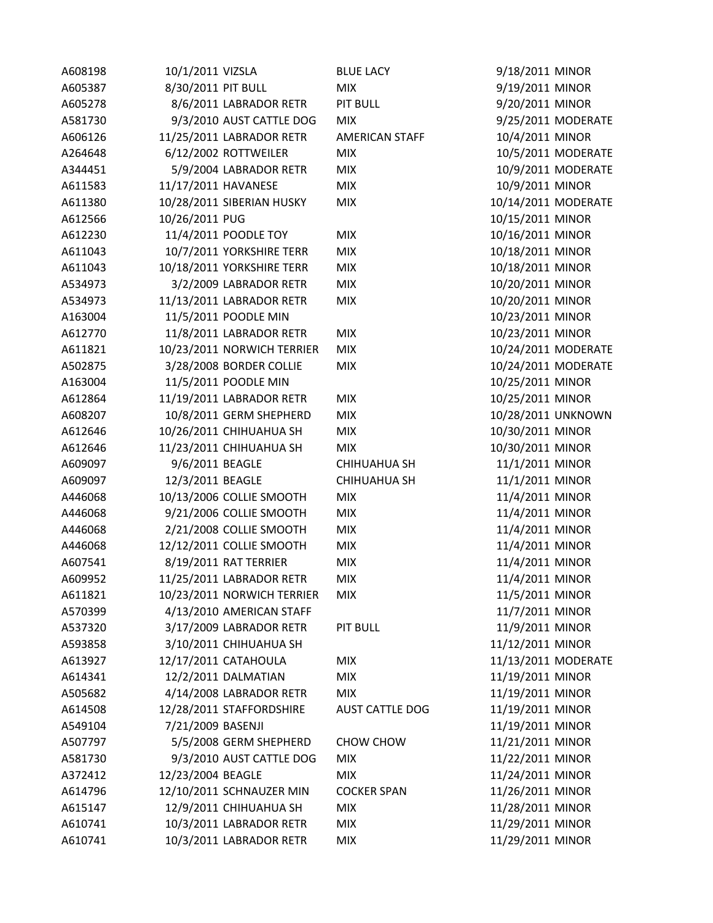| A608198 | 10/1/2011 VIZSLA           | <b>BLUE LACY</b>       | 9/18/2011 MINOR  |                     |
|---------|----------------------------|------------------------|------------------|---------------------|
| A605387 | 8/30/2011 PIT BULL         | <b>MIX</b>             | 9/19/2011 MINOR  |                     |
| A605278 | 8/6/2011 LABRADOR RETR     | <b>PIT BULL</b>        | 9/20/2011 MINOR  |                     |
| A581730 | 9/3/2010 AUST CATTLE DOG   | <b>MIX</b>             |                  | 9/25/2011 MODERATE  |
| A606126 | 11/25/2011 LABRADOR RETR   | <b>AMERICAN STAFF</b>  | 10/4/2011 MINOR  |                     |
| A264648 | 6/12/2002 ROTTWEILER       | <b>MIX</b>             |                  | 10/5/2011 MODERATE  |
| A344451 | 5/9/2004 LABRADOR RETR     | <b>MIX</b>             |                  | 10/9/2011 MODERATE  |
| A611583 | 11/17/2011 HAVANESE        | <b>MIX</b>             | 10/9/2011 MINOR  |                     |
| A611380 | 10/28/2011 SIBERIAN HUSKY  | <b>MIX</b>             |                  | 10/14/2011 MODERATE |
| A612566 | 10/26/2011 PUG             |                        | 10/15/2011 MINOR |                     |
| A612230 | 11/4/2011 POODLE TOY       | <b>MIX</b>             | 10/16/2011 MINOR |                     |
| A611043 | 10/7/2011 YORKSHIRE TERR   | <b>MIX</b>             | 10/18/2011 MINOR |                     |
| A611043 | 10/18/2011 YORKSHIRE TERR  | <b>MIX</b>             | 10/18/2011 MINOR |                     |
| A534973 | 3/2/2009 LABRADOR RETR     | <b>MIX</b>             | 10/20/2011 MINOR |                     |
| A534973 | 11/13/2011 LABRADOR RETR   | <b>MIX</b>             | 10/20/2011 MINOR |                     |
| A163004 | 11/5/2011 POODLE MIN       |                        | 10/23/2011 MINOR |                     |
| A612770 | 11/8/2011 LABRADOR RETR    | <b>MIX</b>             | 10/23/2011 MINOR |                     |
| A611821 | 10/23/2011 NORWICH TERRIER | <b>MIX</b>             |                  | 10/24/2011 MODERATE |
| A502875 | 3/28/2008 BORDER COLLIE    | <b>MIX</b>             |                  | 10/24/2011 MODERATE |
| A163004 | 11/5/2011 POODLE MIN       |                        | 10/25/2011 MINOR |                     |
| A612864 | 11/19/2011 LABRADOR RETR   | <b>MIX</b>             | 10/25/2011 MINOR |                     |
| A608207 | 10/8/2011 GERM SHEPHERD    | <b>MIX</b>             |                  | 10/28/2011 UNKNOWN  |
| A612646 | 10/26/2011 CHIHUAHUA SH    | <b>MIX</b>             | 10/30/2011 MINOR |                     |
| A612646 | 11/23/2011 CHIHUAHUA SH    | <b>MIX</b>             | 10/30/2011 MINOR |                     |
| A609097 | 9/6/2011 BEAGLE            | <b>CHIHUAHUA SH</b>    | 11/1/2011 MINOR  |                     |
| A609097 | 12/3/2011 BEAGLE           | CHIHUAHUA SH           | 11/1/2011 MINOR  |                     |
| A446068 | 10/13/2006 COLLIE SMOOTH   | <b>MIX</b>             | 11/4/2011 MINOR  |                     |
| A446068 | 9/21/2006 COLLIE SMOOTH    | <b>MIX</b>             | 11/4/2011 MINOR  |                     |
| A446068 | 2/21/2008 COLLIE SMOOTH    | <b>MIX</b>             | 11/4/2011 MINOR  |                     |
| A446068 | 12/12/2011 COLLIE SMOOTH   | <b>MIX</b>             | 11/4/2011 MINOR  |                     |
| A607541 | 8/19/2011 RAT TERRIER      | <b>MIX</b>             | 11/4/2011 MINOR  |                     |
| A609952 | 11/25/2011 LABRADOR RETR   | <b>MIX</b>             | 11/4/2011 MINOR  |                     |
| A611821 | 10/23/2011 NORWICH TERRIER | <b>MIX</b>             | 11/5/2011 MINOR  |                     |
| A570399 | 4/13/2010 AMERICAN STAFF   |                        | 11/7/2011 MINOR  |                     |
| A537320 | 3/17/2009 LABRADOR RETR    | <b>PIT BULL</b>        | 11/9/2011 MINOR  |                     |
| A593858 | 3/10/2011 CHIHUAHUA SH     |                        | 11/12/2011 MINOR |                     |
| A613927 | 12/17/2011 CATAHOULA       | <b>MIX</b>             |                  | 11/13/2011 MODERATE |
| A614341 | 12/2/2011 DALMATIAN        | <b>MIX</b>             | 11/19/2011 MINOR |                     |
| A505682 | 4/14/2008 LABRADOR RETR    | <b>MIX</b>             | 11/19/2011 MINOR |                     |
| A614508 | 12/28/2011 STAFFORDSHIRE   | <b>AUST CATTLE DOG</b> | 11/19/2011 MINOR |                     |
| A549104 | 7/21/2009 BASENJI          |                        | 11/19/2011 MINOR |                     |
| A507797 | 5/5/2008 GERM SHEPHERD     | CHOW CHOW              | 11/21/2011 MINOR |                     |
| A581730 | 9/3/2010 AUST CATTLE DOG   | <b>MIX</b>             | 11/22/2011 MINOR |                     |
| A372412 | 12/23/2004 BEAGLE          | <b>MIX</b>             | 11/24/2011 MINOR |                     |
| A614796 | 12/10/2011 SCHNAUZER MIN   | <b>COCKER SPAN</b>     | 11/26/2011 MINOR |                     |
| A615147 | 12/9/2011 CHIHUAHUA SH     | <b>MIX</b>             | 11/28/2011 MINOR |                     |
| A610741 | 10/3/2011 LABRADOR RETR    | <b>MIX</b>             | 11/29/2011 MINOR |                     |
| A610741 | 10/3/2011 LABRADOR RETR    | <b>MIX</b>             | 11/29/2011 MINOR |                     |